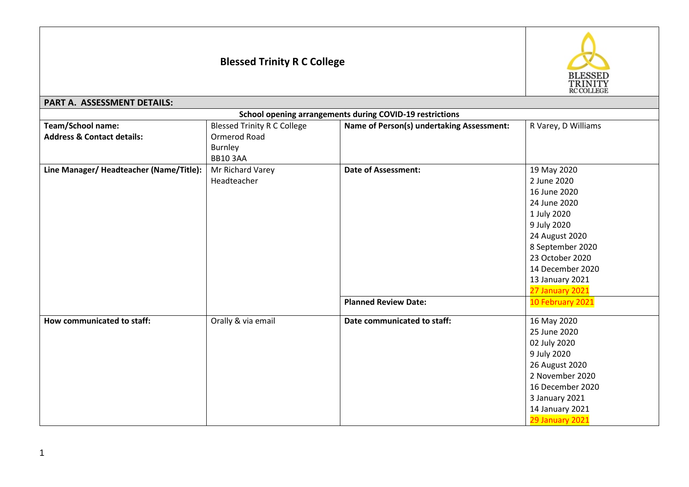## **Blessed Trinity R C College**



## **PART A. ASSESSMENT DETAILS:**

| School opening arrangements during COVID-19 restrictions |                                    |                                           |                     |  |  |
|----------------------------------------------------------|------------------------------------|-------------------------------------------|---------------------|--|--|
| <b>Team/School name:</b>                                 | <b>Blessed Trinity R C College</b> | Name of Person(s) undertaking Assessment: | R Varey, D Williams |  |  |
| <b>Address &amp; Contact details:</b>                    | Ormerod Road                       |                                           |                     |  |  |
|                                                          | Burnley                            |                                           |                     |  |  |
|                                                          | <b>BB10 3AA</b>                    |                                           |                     |  |  |
| Line Manager/Headteacher (Name/Title):                   | Mr Richard Varey                   | <b>Date of Assessment:</b>                | 19 May 2020         |  |  |
|                                                          | Headteacher                        |                                           | 2 June 2020         |  |  |
|                                                          |                                    |                                           | 16 June 2020        |  |  |
|                                                          |                                    |                                           | 24 June 2020        |  |  |
|                                                          |                                    |                                           | 1 July 2020         |  |  |
|                                                          |                                    |                                           | 9 July 2020         |  |  |
|                                                          |                                    |                                           | 24 August 2020      |  |  |
|                                                          |                                    |                                           | 8 September 2020    |  |  |
|                                                          |                                    |                                           | 23 October 2020     |  |  |
|                                                          |                                    |                                           | 14 December 2020    |  |  |
|                                                          |                                    |                                           | 13 January 2021     |  |  |
|                                                          |                                    |                                           | 27 January 2021     |  |  |
|                                                          |                                    | <b>Planned Review Date:</b>               | 10 February 2021    |  |  |
| How communicated to staff:                               | Orally & via email                 | Date communicated to staff:               | 16 May 2020         |  |  |
|                                                          |                                    |                                           | 25 June 2020        |  |  |
|                                                          |                                    |                                           | 02 July 2020        |  |  |
|                                                          |                                    |                                           | 9 July 2020         |  |  |
|                                                          |                                    |                                           | 26 August 2020      |  |  |
|                                                          |                                    |                                           | 2 November 2020     |  |  |
|                                                          |                                    |                                           | 16 December 2020    |  |  |
|                                                          |                                    |                                           | 3 January 2021      |  |  |
|                                                          |                                    |                                           | 14 January 2021     |  |  |
|                                                          |                                    |                                           | 29 January 2021     |  |  |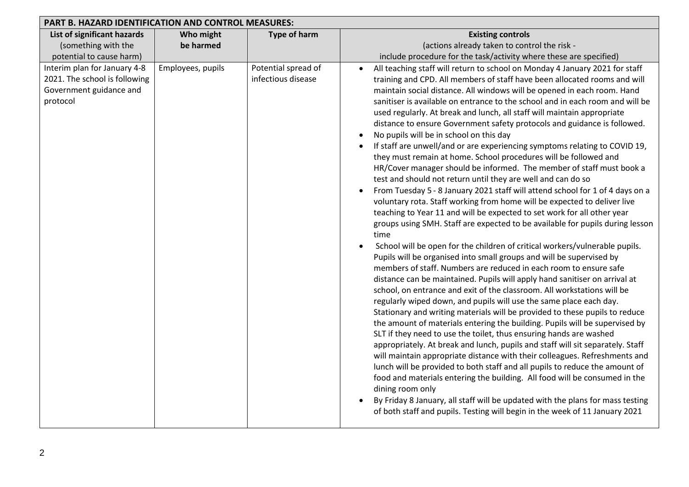| PART B. HAZARD IDENTIFICATION AND CONTROL MEASURES:                                                  |                        |                                           |                                                                                                                                                                                                                                                                                                                                                                                                                                                                                                                                                                                                                                                                                                                                                                                                                                                                                                                                                                                                                                                                                                                                                                                                                                                                                                                                                                                                                                                                                                                                                                                                                                                                                                                                                                                                                                                                                                                                                                                                                                                                                                                                                                                                                                                                                                                                                                    |
|------------------------------------------------------------------------------------------------------|------------------------|-------------------------------------------|--------------------------------------------------------------------------------------------------------------------------------------------------------------------------------------------------------------------------------------------------------------------------------------------------------------------------------------------------------------------------------------------------------------------------------------------------------------------------------------------------------------------------------------------------------------------------------------------------------------------------------------------------------------------------------------------------------------------------------------------------------------------------------------------------------------------------------------------------------------------------------------------------------------------------------------------------------------------------------------------------------------------------------------------------------------------------------------------------------------------------------------------------------------------------------------------------------------------------------------------------------------------------------------------------------------------------------------------------------------------------------------------------------------------------------------------------------------------------------------------------------------------------------------------------------------------------------------------------------------------------------------------------------------------------------------------------------------------------------------------------------------------------------------------------------------------------------------------------------------------------------------------------------------------------------------------------------------------------------------------------------------------------------------------------------------------------------------------------------------------------------------------------------------------------------------------------------------------------------------------------------------------------------------------------------------------------------------------------------------------|
| List of significant hazards<br>(something with the<br>potential to cause harm)                       | Who might<br>be harmed | <b>Type of harm</b>                       | <b>Existing controls</b><br>(actions already taken to control the risk -<br>include procedure for the task/activity where these are specified)                                                                                                                                                                                                                                                                                                                                                                                                                                                                                                                                                                                                                                                                                                                                                                                                                                                                                                                                                                                                                                                                                                                                                                                                                                                                                                                                                                                                                                                                                                                                                                                                                                                                                                                                                                                                                                                                                                                                                                                                                                                                                                                                                                                                                     |
| Interim plan for January 4-8<br>2021. The school is following<br>Government guidance and<br>protocol | Employees, pupils      | Potential spread of<br>infectious disease | All teaching staff will return to school on Monday 4 January 2021 for staff<br>training and CPD. All members of staff have been allocated rooms and will<br>maintain social distance. All windows will be opened in each room. Hand<br>sanitiser is available on entrance to the school and in each room and will be<br>used regularly. At break and lunch, all staff will maintain appropriate<br>distance to ensure Government safety protocols and guidance is followed.<br>No pupils will be in school on this day<br>If staff are unwell/and or are experiencing symptoms relating to COVID 19,<br>they must remain at home. School procedures will be followed and<br>HR/Cover manager should be informed. The member of staff must book a<br>test and should not return until they are well and can do so<br>From Tuesday 5 - 8 January 2021 staff will attend school for 1 of 4 days on a<br>voluntary rota. Staff working from home will be expected to deliver live<br>teaching to Year 11 and will be expected to set work for all other year<br>groups using SMH. Staff are expected to be available for pupils during lesson<br>time<br>School will be open for the children of critical workers/vulnerable pupils.<br>Pupils will be organised into small groups and will be supervised by<br>members of staff. Numbers are reduced in each room to ensure safe<br>distance can be maintained. Pupils will apply hand sanitiser on arrival at<br>school, on entrance and exit of the classroom. All workstations will be<br>regularly wiped down, and pupils will use the same place each day.<br>Stationary and writing materials will be provided to these pupils to reduce<br>the amount of materials entering the building. Pupils will be supervised by<br>SLT if they need to use the toilet, thus ensuring hands are washed<br>appropriately. At break and lunch, pupils and staff will sit separately. Staff<br>will maintain appropriate distance with their colleagues. Refreshments and<br>lunch will be provided to both staff and all pupils to reduce the amount of<br>food and materials entering the building. All food will be consumed in the<br>dining room only<br>By Friday 8 January, all staff will be updated with the plans for mass testing<br>of both staff and pupils. Testing will begin in the week of 11 January 2021 |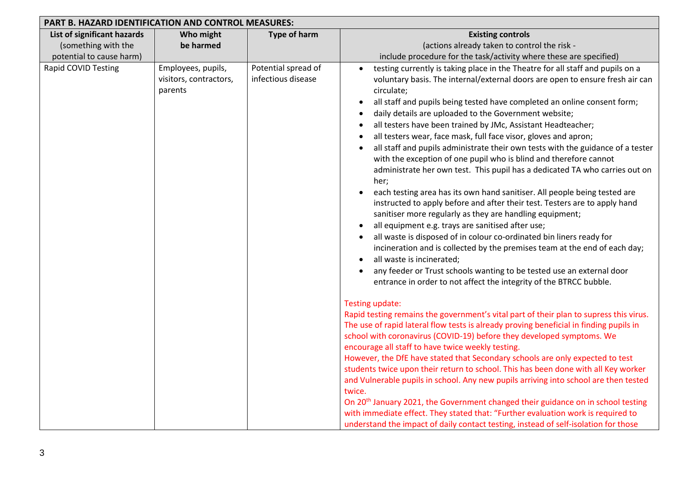| <b>PART B. HAZARD IDENTIFICATION AND CONTROL MEASURES:</b>                     |                                                         |                                           |                                                                                                                                                                                                                                                                                                                                                                                                                                                                                                                                                                                                                                                                                                                                                                                                                                                                                                                                                                                                                                                                                                                                                                                                                                                                                                                                                                                                                                                                                                                                                                                                                                                                                                                                                                                                                                                                                                                                                                                                                                                                                                                                                                                                                          |
|--------------------------------------------------------------------------------|---------------------------------------------------------|-------------------------------------------|--------------------------------------------------------------------------------------------------------------------------------------------------------------------------------------------------------------------------------------------------------------------------------------------------------------------------------------------------------------------------------------------------------------------------------------------------------------------------------------------------------------------------------------------------------------------------------------------------------------------------------------------------------------------------------------------------------------------------------------------------------------------------------------------------------------------------------------------------------------------------------------------------------------------------------------------------------------------------------------------------------------------------------------------------------------------------------------------------------------------------------------------------------------------------------------------------------------------------------------------------------------------------------------------------------------------------------------------------------------------------------------------------------------------------------------------------------------------------------------------------------------------------------------------------------------------------------------------------------------------------------------------------------------------------------------------------------------------------------------------------------------------------------------------------------------------------------------------------------------------------------------------------------------------------------------------------------------------------------------------------------------------------------------------------------------------------------------------------------------------------------------------------------------------------------------------------------------------------|
| List of significant hazards<br>(something with the<br>potential to cause harm) | Who might<br>be harmed                                  | <b>Type of harm</b>                       | <b>Existing controls</b><br>(actions already taken to control the risk -<br>include procedure for the task/activity where these are specified)                                                                                                                                                                                                                                                                                                                                                                                                                                                                                                                                                                                                                                                                                                                                                                                                                                                                                                                                                                                                                                                                                                                                                                                                                                                                                                                                                                                                                                                                                                                                                                                                                                                                                                                                                                                                                                                                                                                                                                                                                                                                           |
| Rapid COVID Testing                                                            | Employees, pupils,<br>visitors, contractors,<br>parents | Potential spread of<br>infectious disease | testing currently is taking place in the Theatre for all staff and pupils on a<br>voluntary basis. The internal/external doors are open to ensure fresh air can<br>circulate;<br>all staff and pupils being tested have completed an online consent form;<br>daily details are uploaded to the Government website;<br>all testers have been trained by JMc, Assistant Headteacher;<br>all testers wear, face mask, full face visor, gloves and apron;<br>all staff and pupils administrate their own tests with the guidance of a tester<br>with the exception of one pupil who is blind and therefore cannot<br>administrate her own test. This pupil has a dedicated TA who carries out on<br>her;<br>each testing area has its own hand sanitiser. All people being tested are<br>$\bullet$<br>instructed to apply before and after their test. Testers are to apply hand<br>sanitiser more regularly as they are handling equipment;<br>all equipment e.g. trays are sanitised after use;<br>all waste is disposed of in colour co-ordinated bin liners ready for<br>incineration and is collected by the premises team at the end of each day;<br>all waste is incinerated;<br>any feeder or Trust schools wanting to be tested use an external door<br>entrance in order to not affect the integrity of the BTRCC bubble.<br>Testing update:<br>Rapid testing remains the government's vital part of their plan to supress this virus.<br>The use of rapid lateral flow tests is already proving beneficial in finding pupils in<br>school with coronavirus (COVID-19) before they developed symptoms. We<br>encourage all staff to have twice weekly testing.<br>However, the DfE have stated that Secondary schools are only expected to test<br>students twice upon their return to school. This has been done with all Key worker<br>and Vulnerable pupils in school. Any new pupils arriving into school are then tested<br>twice.<br>On 20 <sup>th</sup> January 2021, the Government changed their guidance on in school testing<br>with immediate effect. They stated that: "Further evaluation work is required to<br>understand the impact of daily contact testing, instead of self-isolation for those |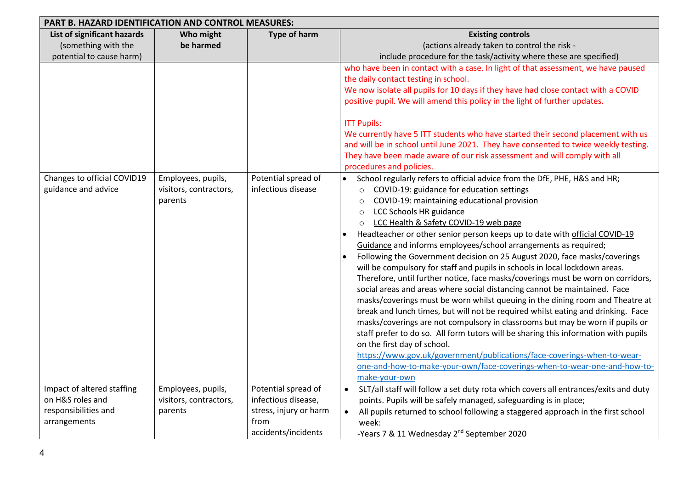| PART B. HAZARD IDENTIFICATION AND CONTROL MEASURES:                                    |                                                         |                                                                                                     |                                                                                                                                                                                                                                                                                                                                                                                                                                                                                                                                                                                                                                                                                                                                                                                                                                                                                                                                                                                                                                                                                                                                                                                                                                                                                                                                      |
|----------------------------------------------------------------------------------------|---------------------------------------------------------|-----------------------------------------------------------------------------------------------------|--------------------------------------------------------------------------------------------------------------------------------------------------------------------------------------------------------------------------------------------------------------------------------------------------------------------------------------------------------------------------------------------------------------------------------------------------------------------------------------------------------------------------------------------------------------------------------------------------------------------------------------------------------------------------------------------------------------------------------------------------------------------------------------------------------------------------------------------------------------------------------------------------------------------------------------------------------------------------------------------------------------------------------------------------------------------------------------------------------------------------------------------------------------------------------------------------------------------------------------------------------------------------------------------------------------------------------------|
| List of significant hazards<br>(something with the<br>potential to cause harm)         | Who might<br>be harmed                                  | <b>Type of harm</b>                                                                                 | <b>Existing controls</b><br>(actions already taken to control the risk -<br>include procedure for the task/activity where these are specified)                                                                                                                                                                                                                                                                                                                                                                                                                                                                                                                                                                                                                                                                                                                                                                                                                                                                                                                                                                                                                                                                                                                                                                                       |
|                                                                                        |                                                         |                                                                                                     | who have been in contact with a case. In light of that assessment, we have paused<br>the daily contact testing in school.<br>We now isolate all pupils for 10 days if they have had close contact with a COVID<br>positive pupil. We will amend this policy in the light of further updates.<br><b>ITT Pupils:</b><br>We currently have 5 ITT students who have started their second placement with us<br>and will be in school until June 2021. They have consented to twice weekly testing.<br>They have been made aware of our risk assessment and will comply with all<br>procedures and policies.                                                                                                                                                                                                                                                                                                                                                                                                                                                                                                                                                                                                                                                                                                                               |
| Changes to official COVID19<br>guidance and advice                                     | Employees, pupils,<br>visitors, contractors,<br>parents | Potential spread of<br>infectious disease                                                           | School regularly refers to official advice from the DfE, PHE, H&S and HR;<br>$\bullet$<br>COVID-19: guidance for education settings<br>$\circ$<br>COVID-19: maintaining educational provision<br>$\circ$<br>LCC Schools HR guidance<br>$\circ$<br>LCC Health & Safety COVID-19 web page<br>$\circ$<br>Headteacher or other senior person keeps up to date with official COVID-19<br>Guidance and informs employees/school arrangements as required;<br>Following the Government decision on 25 August 2020, face masks/coverings<br>will be compulsory for staff and pupils in schools in local lockdown areas.<br>Therefore, until further notice, face masks/coverings must be worn on corridors,<br>social areas and areas where social distancing cannot be maintained. Face<br>masks/coverings must be worn whilst queuing in the dining room and Theatre at<br>break and lunch times, but will not be required whilst eating and drinking. Face<br>masks/coverings are not compulsory in classrooms but may be worn if pupils or<br>staff prefer to do so. All form tutors will be sharing this information with pupils<br>on the first day of school.<br>https://www.gov.uk/government/publications/face-coverings-when-to-wear-<br>one-and-how-to-make-your-own/face-coverings-when-to-wear-one-and-how-to-<br>make-your-own |
| Impact of altered staffing<br>on H&S roles and<br>responsibilities and<br>arrangements | Employees, pupils,<br>visitors, contractors,<br>parents | Potential spread of<br>infectious disease,<br>stress, injury or harm<br>from<br>accidents/incidents | SLT/all staff will follow a set duty rota which covers all entrances/exits and duty<br>$\bullet$<br>points. Pupils will be safely managed, safeguarding is in place;<br>All pupils returned to school following a staggered approach in the first school<br>$\bullet$<br>week:<br>-Years 7 & 11 Wednesday 2 <sup>nd</sup> September 2020                                                                                                                                                                                                                                                                                                                                                                                                                                                                                                                                                                                                                                                                                                                                                                                                                                                                                                                                                                                             |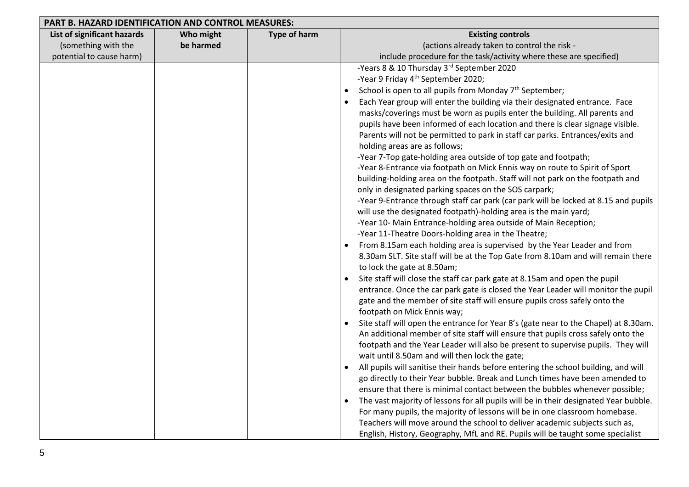| PART B. HAZARD IDENTIFICATION AND CONTROL MEASURES: |           |                     |                                                                                      |
|-----------------------------------------------------|-----------|---------------------|--------------------------------------------------------------------------------------|
| List of significant hazards                         | Who might | <b>Type of harm</b> | <b>Existing controls</b>                                                             |
| (something with the                                 | be harmed |                     | (actions already taken to control the risk -                                         |
| potential to cause harm)                            |           |                     | include procedure for the task/activity where these are specified)                   |
|                                                     |           |                     | -Years 8 & 10 Thursday 3rd September 2020                                            |
|                                                     |           |                     | -Year 9 Friday 4 <sup>th</sup> September 2020;                                       |
|                                                     |           |                     | School is open to all pupils from Monday 7 <sup>th</sup> September;<br>$\bullet$     |
|                                                     |           |                     | Each Year group will enter the building via their designated entrance. Face          |
|                                                     |           |                     | masks/coverings must be worn as pupils enter the building. All parents and           |
|                                                     |           |                     | pupils have been informed of each location and there is clear signage visible.       |
|                                                     |           |                     | Parents will not be permitted to park in staff car parks. Entrances/exits and        |
|                                                     |           |                     | holding areas are as follows;                                                        |
|                                                     |           |                     | -Year 7-Top gate-holding area outside of top gate and footpath;                      |
|                                                     |           |                     | -Year 8-Entrance via footpath on Mick Ennis way on route to Spirit of Sport          |
|                                                     |           |                     | building-holding area on the footpath. Staff will not park on the footpath and       |
|                                                     |           |                     | only in designated parking spaces on the SOS carpark;                                |
|                                                     |           |                     | -Year 9-Entrance through staff car park (car park will be locked at 8.15 and pupils  |
|                                                     |           |                     | will use the designated footpath)-holding area is the main yard;                     |
|                                                     |           |                     | -Year 10- Main Entrance-holding area outside of Main Reception;                      |
|                                                     |           |                     | -Year 11-Theatre Doors-holding area in the Theatre;                                  |
|                                                     |           |                     | From 8.15am each holding area is supervised by the Year Leader and from<br>$\bullet$ |
|                                                     |           |                     | 8.30am SLT. Site staff will be at the Top Gate from 8.10am and will remain there     |
|                                                     |           |                     | to lock the gate at 8.50am;                                                          |
|                                                     |           |                     | Site staff will close the staff car park gate at 8.15am and open the pupil           |
|                                                     |           |                     | entrance. Once the car park gate is closed the Year Leader will monitor the pupil    |
|                                                     |           |                     | gate and the member of site staff will ensure pupils cross safely onto the           |
|                                                     |           |                     | footpath on Mick Ennis way;                                                          |
|                                                     |           |                     | Site staff will open the entrance for Year 8's (gate near to the Chapel) at 8.30am.  |
|                                                     |           |                     | An additional member of site staff will ensure that pupils cross safely onto the     |
|                                                     |           |                     | footpath and the Year Leader will also be present to supervise pupils. They will     |
|                                                     |           |                     | wait until 8.50am and will then lock the gate;                                       |
|                                                     |           |                     | All pupils will sanitise their hands before entering the school building, and will   |
|                                                     |           |                     | go directly to their Year bubble. Break and Lunch times have been amended to         |
|                                                     |           |                     | ensure that there is minimal contact between the bubbles whenever possible;          |
|                                                     |           |                     | The vast majority of lessons for all pupils will be in their designated Year bubble. |
|                                                     |           |                     | For many pupils, the majority of lessons will be in one classroom homebase.          |
|                                                     |           |                     | Teachers will move around the school to deliver academic subjects such as,           |
|                                                     |           |                     | English, History, Geography, MfL and RE. Pupils will be taught some specialist       |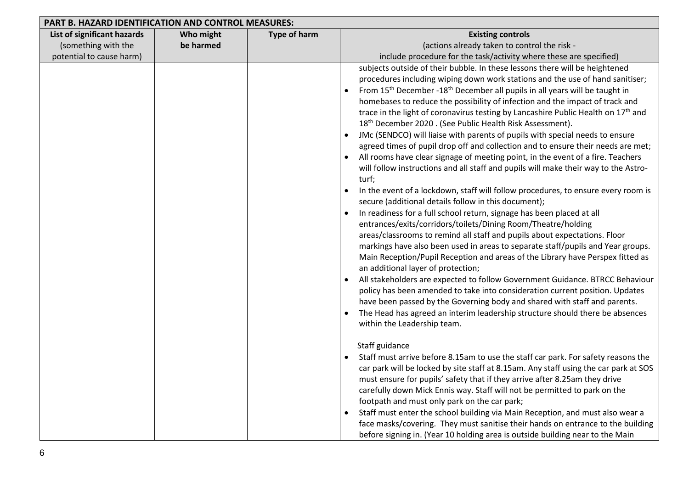| PART B. HAZARD IDENTIFICATION AND CONTROL MEASURES: |           |                     |                                                                                                     |
|-----------------------------------------------------|-----------|---------------------|-----------------------------------------------------------------------------------------------------|
| List of significant hazards                         | Who might | <b>Type of harm</b> | <b>Existing controls</b>                                                                            |
| (something with the                                 | be harmed |                     | (actions already taken to control the risk -                                                        |
| potential to cause harm)                            |           |                     | include procedure for the task/activity where these are specified)                                  |
|                                                     |           |                     | subjects outside of their bubble. In these lessons there will be heightened                         |
|                                                     |           |                     | procedures including wiping down work stations and the use of hand sanitiser;                       |
|                                                     |           |                     | From 15 <sup>th</sup> December -18 <sup>th</sup> December all pupils in all years will be taught in |
|                                                     |           |                     | homebases to reduce the possibility of infection and the impact of track and                        |
|                                                     |           |                     | trace in the light of coronavirus testing by Lancashire Public Health on 17 <sup>th</sup> and       |
|                                                     |           |                     | 18 <sup>th</sup> December 2020 . (See Public Health Risk Assessment).                               |
|                                                     |           |                     | JMc (SENDCO) will liaise with parents of pupils with special needs to ensure                        |
|                                                     |           |                     | agreed times of pupil drop off and collection and to ensure their needs are met;                    |
|                                                     |           |                     | All rooms have clear signage of meeting point, in the event of a fire. Teachers                     |
|                                                     |           |                     | will follow instructions and all staff and pupils will make their way to the Astro-                 |
|                                                     |           |                     | turf;                                                                                               |
|                                                     |           |                     | In the event of a lockdown, staff will follow procedures, to ensure every room is                   |
|                                                     |           |                     | secure (additional details follow in this document);                                                |
|                                                     |           |                     | In readiness for a full school return, signage has been placed at all                               |
|                                                     |           |                     | entrances/exits/corridors/toilets/Dining Room/Theatre/holding                                       |
|                                                     |           |                     | areas/classrooms to remind all staff and pupils about expectations. Floor                           |
|                                                     |           |                     | markings have also been used in areas to separate staff/pupils and Year groups.                     |
|                                                     |           |                     | Main Reception/Pupil Reception and areas of the Library have Perspex fitted as                      |
|                                                     |           |                     | an additional layer of protection;                                                                  |
|                                                     |           |                     | All stakeholders are expected to follow Government Guidance. BTRCC Behaviour                        |
|                                                     |           |                     | policy has been amended to take into consideration current position. Updates                        |
|                                                     |           |                     | have been passed by the Governing body and shared with staff and parents.                           |
|                                                     |           |                     | The Head has agreed an interim leadership structure should there be absences                        |
|                                                     |           |                     | within the Leadership team.                                                                         |
|                                                     |           |                     |                                                                                                     |
|                                                     |           |                     | Staff guidance                                                                                      |
|                                                     |           |                     | Staff must arrive before 8.15am to use the staff car park. For safety reasons the                   |
|                                                     |           |                     | car park will be locked by site staff at 8.15am. Any staff using the car park at SOS                |
|                                                     |           |                     | must ensure for pupils' safety that if they arrive after 8.25am they drive                          |
|                                                     |           |                     | carefully down Mick Ennis way. Staff will not be permitted to park on the                           |
|                                                     |           |                     | footpath and must only park on the car park;                                                        |
|                                                     |           |                     | Staff must enter the school building via Main Reception, and must also wear a                       |
|                                                     |           |                     | face masks/covering. They must sanitise their hands on entrance to the building                     |
|                                                     |           |                     | before signing in. (Year 10 holding area is outside building near to the Main                       |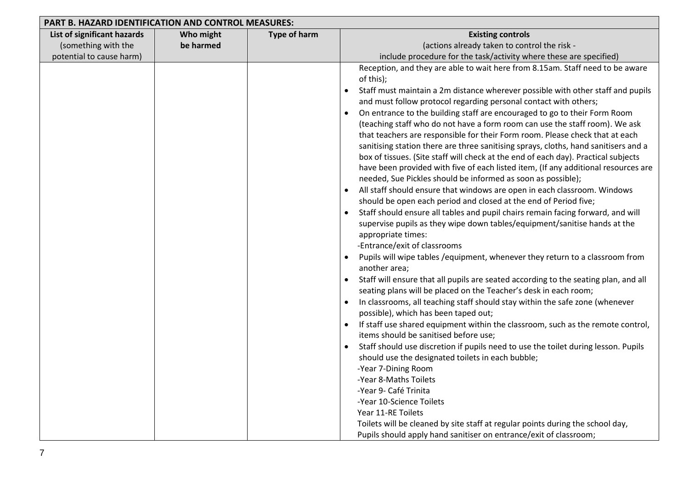| PART B. HAZARD IDENTIFICATION AND CONTROL MEASURES: |           |                     |                                                                                              |
|-----------------------------------------------------|-----------|---------------------|----------------------------------------------------------------------------------------------|
| List of significant hazards                         | Who might | <b>Type of harm</b> | <b>Existing controls</b>                                                                     |
| (something with the                                 | be harmed |                     | (actions already taken to control the risk -                                                 |
| potential to cause harm)                            |           |                     | include procedure for the task/activity where these are specified)                           |
|                                                     |           |                     | Reception, and they are able to wait here from 8.15am. Staff need to be aware                |
|                                                     |           |                     | of this);                                                                                    |
|                                                     |           |                     | Staff must maintain a 2m distance wherever possible with other staff and pupils<br>$\bullet$ |
|                                                     |           |                     | and must follow protocol regarding personal contact with others;                             |
|                                                     |           |                     | On entrance to the building staff are encouraged to go to their Form Room<br>$\bullet$       |
|                                                     |           |                     | (teaching staff who do not have a form room can use the staff room). We ask                  |
|                                                     |           |                     | that teachers are responsible for their Form room. Please check that at each                 |
|                                                     |           |                     | sanitising station there are three sanitising sprays, cloths, hand sanitisers and a          |
|                                                     |           |                     | box of tissues. (Site staff will check at the end of each day). Practical subjects           |
|                                                     |           |                     | have been provided with five of each listed item, (If any additional resources are           |
|                                                     |           |                     | needed, Sue Pickles should be informed as soon as possible);                                 |
|                                                     |           |                     | All staff should ensure that windows are open in each classroom. Windows                     |
|                                                     |           |                     | should be open each period and closed at the end of Period five;                             |
|                                                     |           |                     | Staff should ensure all tables and pupil chairs remain facing forward, and will<br>$\bullet$ |
|                                                     |           |                     | supervise pupils as they wipe down tables/equipment/sanitise hands at the                    |
|                                                     |           |                     | appropriate times:                                                                           |
|                                                     |           |                     | -Entrance/exit of classrooms                                                                 |
|                                                     |           |                     | Pupils will wipe tables / equipment, whenever they return to a classroom from<br>$\bullet$   |
|                                                     |           |                     | another area;                                                                                |
|                                                     |           |                     | Staff will ensure that all pupils are seated according to the seating plan, and all          |
|                                                     |           |                     | seating plans will be placed on the Teacher's desk in each room;                             |
|                                                     |           |                     | In classrooms, all teaching staff should stay within the safe zone (whenever<br>$\bullet$    |
|                                                     |           |                     | possible), which has been taped out;                                                         |
|                                                     |           |                     | If staff use shared equipment within the classroom, such as the remote control,<br>$\bullet$ |
|                                                     |           |                     | items should be sanitised before use;                                                        |
|                                                     |           |                     | Staff should use discretion if pupils need to use the toilet during lesson. Pupils           |
|                                                     |           |                     | should use the designated toilets in each bubble;                                            |
|                                                     |           |                     | -Year 7-Dining Room                                                                          |
|                                                     |           |                     | -Year 8-Maths Toilets                                                                        |
|                                                     |           |                     | -Year 9- Café Trinita                                                                        |
|                                                     |           |                     | -Year 10-Science Toilets                                                                     |
|                                                     |           |                     | Year 11-RE Toilets                                                                           |
|                                                     |           |                     | Toilets will be cleaned by site staff at regular points during the school day,               |
|                                                     |           |                     | Pupils should apply hand sanitiser on entrance/exit of classroom;                            |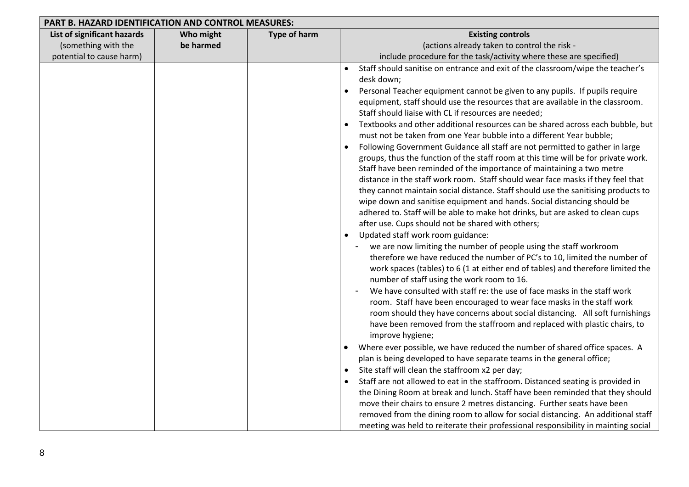| <b>PART B. HAZARD IDENTIFICATION AND CONTROL MEASURES:</b> |           |              |                                                                                                                                                                                                                                                                                                                                                                                                                                                                                                                                                                                                                                                                                                                                                                                                                                                                                                                                                                                                                                                                                                                                                                                                                                                                                                                                                                                                                                                                                                                                                                                                                                                                                                                                                                                                                                                                                                                                                                                                                                                                                                                                                                                                                                                                                                                                                                                                                                                                                                          |
|------------------------------------------------------------|-----------|--------------|----------------------------------------------------------------------------------------------------------------------------------------------------------------------------------------------------------------------------------------------------------------------------------------------------------------------------------------------------------------------------------------------------------------------------------------------------------------------------------------------------------------------------------------------------------------------------------------------------------------------------------------------------------------------------------------------------------------------------------------------------------------------------------------------------------------------------------------------------------------------------------------------------------------------------------------------------------------------------------------------------------------------------------------------------------------------------------------------------------------------------------------------------------------------------------------------------------------------------------------------------------------------------------------------------------------------------------------------------------------------------------------------------------------------------------------------------------------------------------------------------------------------------------------------------------------------------------------------------------------------------------------------------------------------------------------------------------------------------------------------------------------------------------------------------------------------------------------------------------------------------------------------------------------------------------------------------------------------------------------------------------------------------------------------------------------------------------------------------------------------------------------------------------------------------------------------------------------------------------------------------------------------------------------------------------------------------------------------------------------------------------------------------------------------------------------------------------------------------------------------------------|
| List of significant hazards                                | Who might | Type of harm | <b>Existing controls</b>                                                                                                                                                                                                                                                                                                                                                                                                                                                                                                                                                                                                                                                                                                                                                                                                                                                                                                                                                                                                                                                                                                                                                                                                                                                                                                                                                                                                                                                                                                                                                                                                                                                                                                                                                                                                                                                                                                                                                                                                                                                                                                                                                                                                                                                                                                                                                                                                                                                                                 |
| (something with the                                        | be harmed |              | (actions already taken to control the risk -                                                                                                                                                                                                                                                                                                                                                                                                                                                                                                                                                                                                                                                                                                                                                                                                                                                                                                                                                                                                                                                                                                                                                                                                                                                                                                                                                                                                                                                                                                                                                                                                                                                                                                                                                                                                                                                                                                                                                                                                                                                                                                                                                                                                                                                                                                                                                                                                                                                             |
| potential to cause harm)                                   |           |              | include procedure for the task/activity where these are specified)                                                                                                                                                                                                                                                                                                                                                                                                                                                                                                                                                                                                                                                                                                                                                                                                                                                                                                                                                                                                                                                                                                                                                                                                                                                                                                                                                                                                                                                                                                                                                                                                                                                                                                                                                                                                                                                                                                                                                                                                                                                                                                                                                                                                                                                                                                                                                                                                                                       |
|                                                            |           |              | Staff should sanitise on entrance and exit of the classroom/wipe the teacher's<br>$\bullet$<br>desk down;<br>Personal Teacher equipment cannot be given to any pupils. If pupils require<br>$\bullet$<br>equipment, staff should use the resources that are available in the classroom.<br>Staff should liaise with CL if resources are needed;<br>Textbooks and other additional resources can be shared across each bubble, but<br>$\bullet$<br>must not be taken from one Year bubble into a different Year bubble;<br>Following Government Guidance all staff are not permitted to gather in large<br>$\bullet$<br>groups, thus the function of the staff room at this time will be for private work.<br>Staff have been reminded of the importance of maintaining a two metre<br>distance in the staff work room. Staff should wear face masks if they feel that<br>they cannot maintain social distance. Staff should use the sanitising products to<br>wipe down and sanitise equipment and hands. Social distancing should be<br>adhered to. Staff will be able to make hot drinks, but are asked to clean cups<br>after use. Cups should not be shared with others;<br>Updated staff work room guidance:<br>$\bullet$<br>we are now limiting the number of people using the staff workroom<br>therefore we have reduced the number of PC's to 10, limited the number of<br>work spaces (tables) to 6 (1 at either end of tables) and therefore limited the<br>number of staff using the work room to 16.<br>We have consulted with staff re: the use of face masks in the staff work<br>room. Staff have been encouraged to wear face masks in the staff work<br>room should they have concerns about social distancing. All soft furnishings<br>have been removed from the staffroom and replaced with plastic chairs, to<br>improve hygiene;<br>Where ever possible, we have reduced the number of shared office spaces. A<br>plan is being developed to have separate teams in the general office;<br>Site staff will clean the staffroom x2 per day;<br>$\bullet$<br>Staff are not allowed to eat in the staffroom. Distanced seating is provided in<br>the Dining Room at break and lunch. Staff have been reminded that they should<br>move their chairs to ensure 2 metres distancing. Further seats have been<br>removed from the dining room to allow for social distancing. An additional staff<br>meeting was held to reiterate their professional responsibility in mainting social |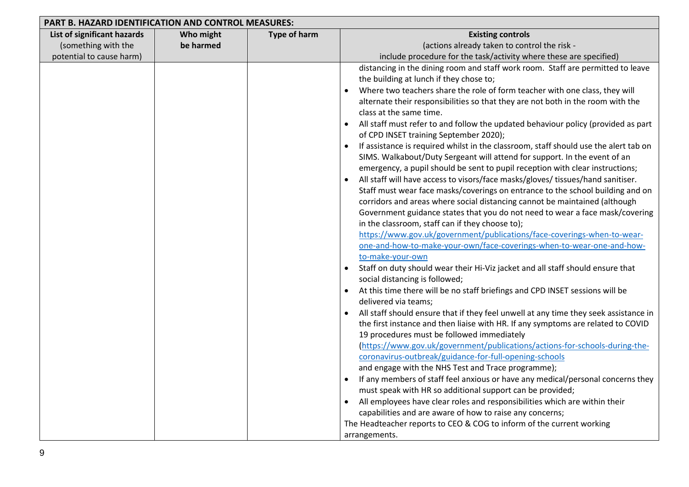| PART B. HAZARD IDENTIFICATION AND CONTROL MEASURES: |           |                     |                                                                                      |
|-----------------------------------------------------|-----------|---------------------|--------------------------------------------------------------------------------------|
| List of significant hazards                         | Who might | <b>Type of harm</b> | <b>Existing controls</b>                                                             |
| (something with the                                 | be harmed |                     | (actions already taken to control the risk -                                         |
| potential to cause harm)                            |           |                     | include procedure for the task/activity where these are specified)                   |
|                                                     |           |                     | distancing in the dining room and staff work room. Staff are permitted to leave      |
|                                                     |           |                     | the building at lunch if they chose to;                                              |
|                                                     |           |                     | Where two teachers share the role of form teacher with one class, they will          |
|                                                     |           |                     | alternate their responsibilities so that they are not both in the room with the      |
|                                                     |           |                     | class at the same time.                                                              |
|                                                     |           |                     | All staff must refer to and follow the updated behaviour policy (provided as part    |
|                                                     |           |                     | of CPD INSET training September 2020);                                               |
|                                                     |           |                     | If assistance is required whilst in the classroom, staff should use the alert tab on |
|                                                     |           |                     | SIMS. Walkabout/Duty Sergeant will attend for support. In the event of an            |
|                                                     |           |                     | emergency, a pupil should be sent to pupil reception with clear instructions;        |
|                                                     |           |                     | All staff will have access to visors/face masks/gloves/ tissues/hand sanitiser.      |
|                                                     |           |                     | Staff must wear face masks/coverings on entrance to the school building and on       |
|                                                     |           |                     | corridors and areas where social distancing cannot be maintained (although           |
|                                                     |           |                     | Government guidance states that you do not need to wear a face mask/covering         |
|                                                     |           |                     | in the classroom, staff can if they choose to);                                      |
|                                                     |           |                     | https://www.gov.uk/government/publications/face-coverings-when-to-wear-              |
|                                                     |           |                     | one-and-how-to-make-your-own/face-coverings-when-to-wear-one-and-how-                |
|                                                     |           |                     | to-make-your-own                                                                     |
|                                                     |           |                     | Staff on duty should wear their Hi-Viz jacket and all staff should ensure that       |
|                                                     |           |                     | social distancing is followed;                                                       |
|                                                     |           |                     | At this time there will be no staff briefings and CPD INSET sessions will be         |
|                                                     |           |                     | delivered via teams;                                                                 |
|                                                     |           |                     | All staff should ensure that if they feel unwell at any time they seek assistance in |
|                                                     |           |                     | the first instance and then liaise with HR. If any symptoms are related to COVID     |
|                                                     |           |                     | 19 procedures must be followed immediately                                           |
|                                                     |           |                     | (https://www.gov.uk/government/publications/actions-for-schools-during-the-          |
|                                                     |           |                     | coronavirus-outbreak/guidance-for-full-opening-schools                               |
|                                                     |           |                     | and engage with the NHS Test and Trace programme);                                   |
|                                                     |           |                     | If any members of staff feel anxious or have any medical/personal concerns they      |
|                                                     |           |                     | must speak with HR so additional support can be provided;                            |
|                                                     |           |                     | All employees have clear roles and responsibilities which are within their           |
|                                                     |           |                     | capabilities and are aware of how to raise any concerns;                             |
|                                                     |           |                     | The Headteacher reports to CEO & COG to inform of the current working                |
|                                                     |           |                     | arrangements.                                                                        |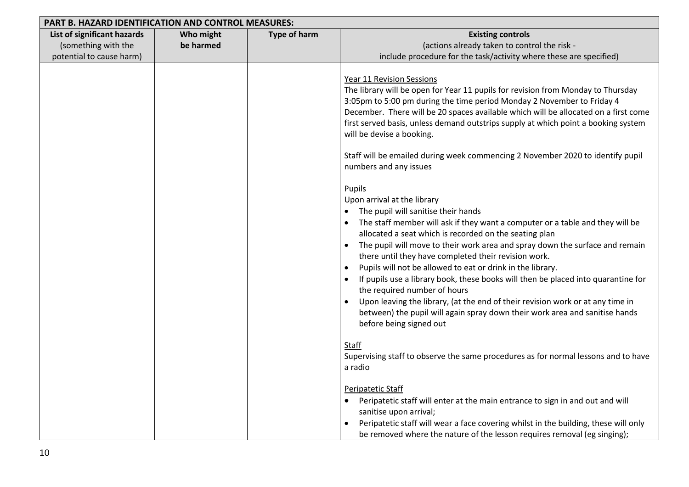| <b>PART B. HAZARD IDENTIFICATION AND CONTROL MEASURES:</b>                     |                        |              |                                                                                                                                                                                                                                                                                                                                                                                                                                                                                                                                                                                                                                                                                                                                                                                                                                                                                                                                                                                                                                                                                                                                                                                                                                                                                                                                                                                                                                                                                                                                                                      |
|--------------------------------------------------------------------------------|------------------------|--------------|----------------------------------------------------------------------------------------------------------------------------------------------------------------------------------------------------------------------------------------------------------------------------------------------------------------------------------------------------------------------------------------------------------------------------------------------------------------------------------------------------------------------------------------------------------------------------------------------------------------------------------------------------------------------------------------------------------------------------------------------------------------------------------------------------------------------------------------------------------------------------------------------------------------------------------------------------------------------------------------------------------------------------------------------------------------------------------------------------------------------------------------------------------------------------------------------------------------------------------------------------------------------------------------------------------------------------------------------------------------------------------------------------------------------------------------------------------------------------------------------------------------------------------------------------------------------|
| List of significant hazards<br>(something with the<br>potential to cause harm) | Who might<br>be harmed | Type of harm | <b>Existing controls</b><br>(actions already taken to control the risk -<br>include procedure for the task/activity where these are specified)                                                                                                                                                                                                                                                                                                                                                                                                                                                                                                                                                                                                                                                                                                                                                                                                                                                                                                                                                                                                                                                                                                                                                                                                                                                                                                                                                                                                                       |
|                                                                                |                        |              | <b>Year 11 Revision Sessions</b><br>The library will be open for Year 11 pupils for revision from Monday to Thursday<br>3:05pm to 5:00 pm during the time period Monday 2 November to Friday 4<br>December. There will be 20 spaces available which will be allocated on a first come<br>first served basis, unless demand outstrips supply at which point a booking system<br>will be devise a booking.<br>Staff will be emailed during week commencing 2 November 2020 to identify pupil<br>numbers and any issues<br>Pupils<br>Upon arrival at the library<br>The pupil will sanitise their hands<br>$\bullet$<br>The staff member will ask if they want a computer or a table and they will be<br>allocated a seat which is recorded on the seating plan<br>The pupil will move to their work area and spray down the surface and remain<br>$\bullet$<br>there until they have completed their revision work.<br>Pupils will not be allowed to eat or drink in the library.<br>$\bullet$<br>If pupils use a library book, these books will then be placed into quarantine for<br>the required number of hours<br>Upon leaving the library, (at the end of their revision work or at any time in<br>$\bullet$<br>between) the pupil will again spray down their work area and sanitise hands<br>before being signed out<br>Staff<br>Supervising staff to observe the same procedures as for normal lessons and to have<br>a radio<br>Peripatetic Staff<br>Peripatetic staff will enter at the main entrance to sign in and out and will<br>sanitise upon arrival; |
|                                                                                |                        |              | Peripatetic staff will wear a face covering whilst in the building, these will only<br>be removed where the nature of the lesson requires removal (eg singing);                                                                                                                                                                                                                                                                                                                                                                                                                                                                                                                                                                                                                                                                                                                                                                                                                                                                                                                                                                                                                                                                                                                                                                                                                                                                                                                                                                                                      |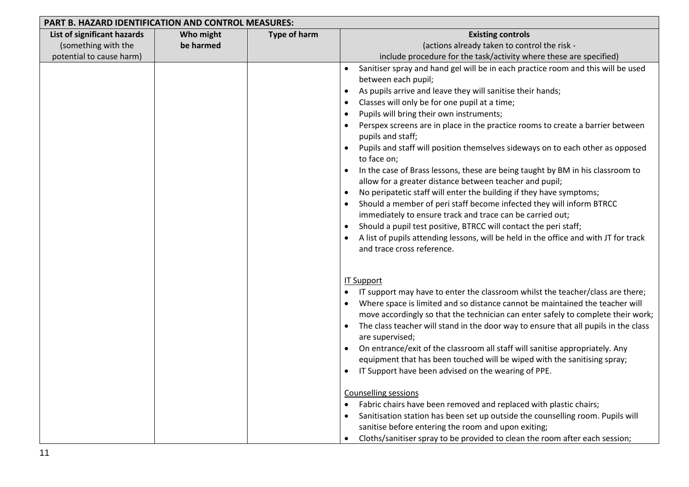| PART B. HAZARD IDENTIFICATION AND CONTROL MEASURES: |           |                     |                                                                                                                                   |
|-----------------------------------------------------|-----------|---------------------|-----------------------------------------------------------------------------------------------------------------------------------|
| List of significant hazards                         | Who might | <b>Type of harm</b> | <b>Existing controls</b>                                                                                                          |
| (something with the                                 | be harmed |                     | (actions already taken to control the risk -                                                                                      |
| potential to cause harm)                            |           |                     | include procedure for the task/activity where these are specified)                                                                |
|                                                     |           |                     | Sanitiser spray and hand gel will be in each practice room and this will be used<br>$\bullet$                                     |
|                                                     |           |                     | between each pupil;                                                                                                               |
|                                                     |           |                     | As pupils arrive and leave they will sanitise their hands;<br>$\bullet$                                                           |
|                                                     |           |                     | Classes will only be for one pupil at a time;                                                                                     |
|                                                     |           |                     | Pupils will bring their own instruments;                                                                                          |
|                                                     |           |                     | Perspex screens are in place in the practice rooms to create a barrier between<br>pupils and staff;                               |
|                                                     |           |                     | Pupils and staff will position themselves sideways on to each other as opposed<br>to face on;                                     |
|                                                     |           |                     | In the case of Brass lessons, these are being taught by BM in his classroom to                                                    |
|                                                     |           |                     | allow for a greater distance between teacher and pupil;                                                                           |
|                                                     |           |                     | No peripatetic staff will enter the building if they have symptoms;                                                               |
|                                                     |           |                     | Should a member of peri staff become infected they will inform BTRCC<br>immediately to ensure track and trace can be carried out; |
|                                                     |           |                     | Should a pupil test positive, BTRCC will contact the peri staff;                                                                  |
|                                                     |           |                     | A list of pupils attending lessons, will be held in the office and with JT for track                                              |
|                                                     |           |                     | and trace cross reference.                                                                                                        |
|                                                     |           |                     | <b>IT Support</b>                                                                                                                 |
|                                                     |           |                     | IT support may have to enter the classroom whilst the teacher/class are there;                                                    |
|                                                     |           |                     | Where space is limited and so distance cannot be maintained the teacher will                                                      |
|                                                     |           |                     | move accordingly so that the technician can enter safely to complete their work;                                                  |
|                                                     |           |                     | The class teacher will stand in the door way to ensure that all pupils in the class<br>$\bullet$                                  |
|                                                     |           |                     | are supervised;                                                                                                                   |
|                                                     |           |                     | On entrance/exit of the classroom all staff will sanitise appropriately. Any                                                      |
|                                                     |           |                     | equipment that has been touched will be wiped with the sanitising spray;                                                          |
|                                                     |           |                     | IT Support have been advised on the wearing of PPE.                                                                               |
|                                                     |           |                     | <b>Counselling sessions</b>                                                                                                       |
|                                                     |           |                     | Fabric chairs have been removed and replaced with plastic chairs;                                                                 |
|                                                     |           |                     | Sanitisation station has been set up outside the counselling room. Pupils will                                                    |
|                                                     |           |                     | sanitise before entering the room and upon exiting;                                                                               |
|                                                     |           |                     | Cloths/sanitiser spray to be provided to clean the room after each session;                                                       |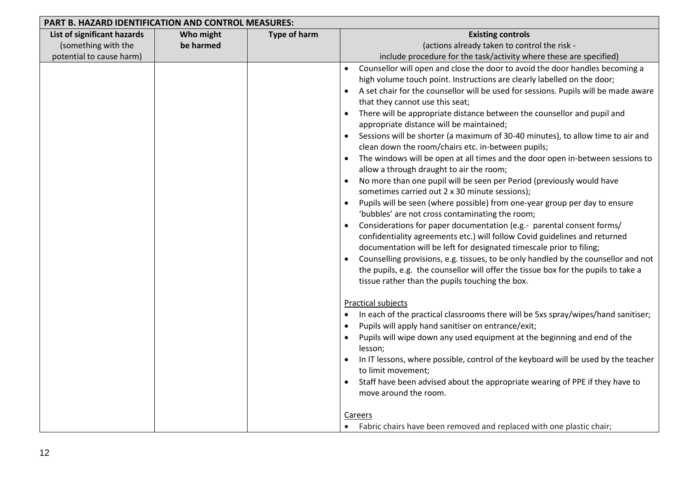| <b>PART B. HAZARD IDENTIFICATION AND CONTROL MEASURES:</b>                     |                        |                     |                                                                                                                                                                                                                                                                                                                                                                                                                                                                                                                                                                                                                                                                                                                                                                                                                                                                                                                                                                                                                                                                                                                                                                                                                                                                                                                                                                                                                                                               |
|--------------------------------------------------------------------------------|------------------------|---------------------|---------------------------------------------------------------------------------------------------------------------------------------------------------------------------------------------------------------------------------------------------------------------------------------------------------------------------------------------------------------------------------------------------------------------------------------------------------------------------------------------------------------------------------------------------------------------------------------------------------------------------------------------------------------------------------------------------------------------------------------------------------------------------------------------------------------------------------------------------------------------------------------------------------------------------------------------------------------------------------------------------------------------------------------------------------------------------------------------------------------------------------------------------------------------------------------------------------------------------------------------------------------------------------------------------------------------------------------------------------------------------------------------------------------------------------------------------------------|
| List of significant hazards<br>(something with the<br>potential to cause harm) | Who might<br>be harmed | <b>Type of harm</b> | <b>Existing controls</b><br>(actions already taken to control the risk -<br>include procedure for the task/activity where these are specified)                                                                                                                                                                                                                                                                                                                                                                                                                                                                                                                                                                                                                                                                                                                                                                                                                                                                                                                                                                                                                                                                                                                                                                                                                                                                                                                |
|                                                                                |                        |                     | Counsellor will open and close the door to avoid the door handles becoming a<br>$\bullet$<br>high volume touch point. Instructions are clearly labelled on the door;<br>A set chair for the counsellor will be used for sessions. Pupils will be made aware<br>that they cannot use this seat;<br>There will be appropriate distance between the counsellor and pupil and<br>$\bullet$<br>appropriate distance will be maintained;<br>Sessions will be shorter (a maximum of 30-40 minutes), to allow time to air and<br>clean down the room/chairs etc. in-between pupils;<br>The windows will be open at all times and the door open in-between sessions to<br>$\bullet$<br>allow a through draught to air the room;<br>No more than one pupil will be seen per Period (previously would have<br>$\bullet$<br>sometimes carried out 2 x 30 minute sessions);<br>Pupils will be seen (where possible) from one-year group per day to ensure<br>'bubbles' are not cross contaminating the room;<br>Considerations for paper documentation (e.g.- parental consent forms/<br>confidentiality agreements etc.) will follow Covid guidelines and returned<br>documentation will be left for designated timescale prior to filing;<br>Counselling provisions, e.g. tissues, to be only handled by the counsellor and not<br>the pupils, e.g. the counsellor will offer the tissue box for the pupils to take a<br>tissue rather than the pupils touching the box. |
|                                                                                |                        |                     | <b>Practical subjects</b><br>In each of the practical classrooms there will be 5xs spray/wipes/hand sanitiser;<br>$\bullet$<br>Pupils will apply hand sanitiser on entrance/exit;<br>Pupils will wipe down any used equipment at the beginning and end of the<br>lesson;<br>In IT lessons, where possible, control of the keyboard will be used by the teacher<br>to limit movement;<br>Staff have been advised about the appropriate wearing of PPE if they have to<br>move around the room.<br><b>Careers</b><br>Fabric chairs have been removed and replaced with one plastic chair;                                                                                                                                                                                                                                                                                                                                                                                                                                                                                                                                                                                                                                                                                                                                                                                                                                                                       |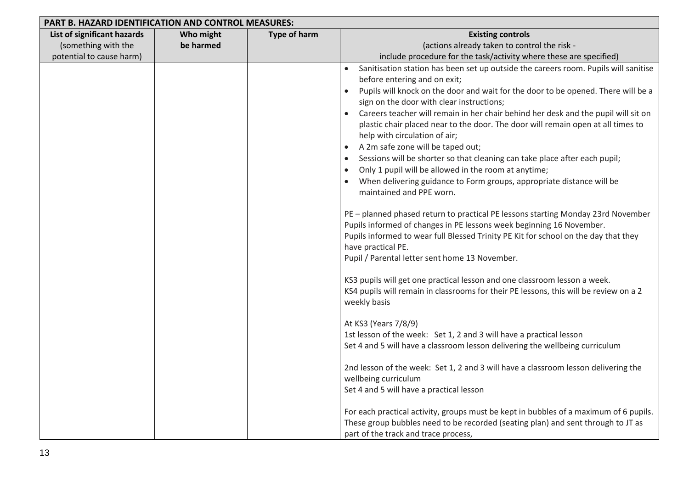| PART B. HAZARD IDENTIFICATION AND CONTROL MEASURES: |           |                     |                                                                                                                                                                                                                                                                                                                                                                                                                                                                                                                                                                                                                                                                                                                                                                                                                                                                                                                                                                                                                                                                                                                                                                                                                                                                                                                                                                                                                                                                                                                                                                                                                                                                                                                                                                                                                                              |  |
|-----------------------------------------------------|-----------|---------------------|----------------------------------------------------------------------------------------------------------------------------------------------------------------------------------------------------------------------------------------------------------------------------------------------------------------------------------------------------------------------------------------------------------------------------------------------------------------------------------------------------------------------------------------------------------------------------------------------------------------------------------------------------------------------------------------------------------------------------------------------------------------------------------------------------------------------------------------------------------------------------------------------------------------------------------------------------------------------------------------------------------------------------------------------------------------------------------------------------------------------------------------------------------------------------------------------------------------------------------------------------------------------------------------------------------------------------------------------------------------------------------------------------------------------------------------------------------------------------------------------------------------------------------------------------------------------------------------------------------------------------------------------------------------------------------------------------------------------------------------------------------------------------------------------------------------------------------------------|--|
| List of significant hazards                         | Who might | <b>Type of harm</b> | <b>Existing controls</b>                                                                                                                                                                                                                                                                                                                                                                                                                                                                                                                                                                                                                                                                                                                                                                                                                                                                                                                                                                                                                                                                                                                                                                                                                                                                                                                                                                                                                                                                                                                                                                                                                                                                                                                                                                                                                     |  |
| (something with the                                 | be harmed |                     | (actions already taken to control the risk -                                                                                                                                                                                                                                                                                                                                                                                                                                                                                                                                                                                                                                                                                                                                                                                                                                                                                                                                                                                                                                                                                                                                                                                                                                                                                                                                                                                                                                                                                                                                                                                                                                                                                                                                                                                                 |  |
| potential to cause harm)                            |           |                     | include procedure for the task/activity where these are specified)                                                                                                                                                                                                                                                                                                                                                                                                                                                                                                                                                                                                                                                                                                                                                                                                                                                                                                                                                                                                                                                                                                                                                                                                                                                                                                                                                                                                                                                                                                                                                                                                                                                                                                                                                                           |  |
|                                                     |           |                     | Sanitisation station has been set up outside the careers room. Pupils will sanitise<br>before entering and on exit;<br>Pupils will knock on the door and wait for the door to be opened. There will be a<br>$\bullet$<br>sign on the door with clear instructions;<br>Careers teacher will remain in her chair behind her desk and the pupil will sit on<br>plastic chair placed near to the door. The door will remain open at all times to<br>help with circulation of air;<br>A 2m safe zone will be taped out;<br>Sessions will be shorter so that cleaning can take place after each pupil;<br>Only 1 pupil will be allowed in the room at anytime;<br>When delivering guidance to Form groups, appropriate distance will be<br>maintained and PPE worn.<br>PE - planned phased return to practical PE lessons starting Monday 23rd November<br>Pupils informed of changes in PE lessons week beginning 16 November.<br>Pupils informed to wear full Blessed Trinity PE Kit for school on the day that they<br>have practical PE.<br>Pupil / Parental letter sent home 13 November.<br>KS3 pupils will get one practical lesson and one classroom lesson a week.<br>KS4 pupils will remain in classrooms for their PE lessons, this will be review on a 2<br>weekly basis<br>At KS3 (Years 7/8/9)<br>1st lesson of the week: Set 1, 2 and 3 will have a practical lesson<br>Set 4 and 5 will have a classroom lesson delivering the wellbeing curriculum<br>2nd lesson of the week: Set 1, 2 and 3 will have a classroom lesson delivering the<br>wellbeing curriculum<br>Set 4 and 5 will have a practical lesson<br>For each practical activity, groups must be kept in bubbles of a maximum of 6 pupils.<br>These group bubbles need to be recorded (seating plan) and sent through to JT as<br>part of the track and trace process, |  |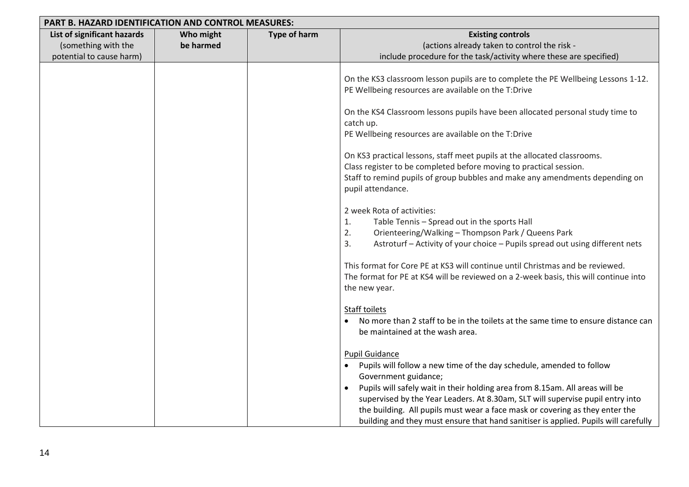| <b>PART B. HAZARD IDENTIFICATION AND CONTROL MEASURES:</b>                     |                        |                     |                                                                                                                                                                                                                                                                                                                                                                                                                                                                                                                                                                                                                                                                                                                                                                                                                                                                                                                                                                                                                                                                                                                                                                                                                                                                                                                                                                                                                                                                                                                                                                                                  |
|--------------------------------------------------------------------------------|------------------------|---------------------|--------------------------------------------------------------------------------------------------------------------------------------------------------------------------------------------------------------------------------------------------------------------------------------------------------------------------------------------------------------------------------------------------------------------------------------------------------------------------------------------------------------------------------------------------------------------------------------------------------------------------------------------------------------------------------------------------------------------------------------------------------------------------------------------------------------------------------------------------------------------------------------------------------------------------------------------------------------------------------------------------------------------------------------------------------------------------------------------------------------------------------------------------------------------------------------------------------------------------------------------------------------------------------------------------------------------------------------------------------------------------------------------------------------------------------------------------------------------------------------------------------------------------------------------------------------------------------------------------|
| List of significant hazards<br>(something with the<br>potential to cause harm) | Who might<br>be harmed | <b>Type of harm</b> | <b>Existing controls</b><br>(actions already taken to control the risk -<br>include procedure for the task/activity where these are specified)                                                                                                                                                                                                                                                                                                                                                                                                                                                                                                                                                                                                                                                                                                                                                                                                                                                                                                                                                                                                                                                                                                                                                                                                                                                                                                                                                                                                                                                   |
|                                                                                |                        |                     | On the KS3 classroom lesson pupils are to complete the PE Wellbeing Lessons 1-12.<br>PE Wellbeing resources are available on the T:Drive<br>On the KS4 Classroom lessons pupils have been allocated personal study time to<br>catch up.<br>PE Wellbeing resources are available on the T:Drive<br>On KS3 practical lessons, staff meet pupils at the allocated classrooms.<br>Class register to be completed before moving to practical session.<br>Staff to remind pupils of group bubbles and make any amendments depending on<br>pupil attendance.<br>2 week Rota of activities:<br>Table Tennis - Spread out in the sports Hall<br>1.<br>Orienteering/Walking - Thompson Park / Queens Park<br>2.<br>Astroturf - Activity of your choice - Pupils spread out using different nets<br>3.<br>This format for Core PE at KS3 will continue until Christmas and be reviewed.<br>The format for PE at KS4 will be reviewed on a 2-week basis, this will continue into<br>the new year.<br>Staff toilets<br>No more than 2 staff to be in the toilets at the same time to ensure distance can<br>be maintained at the wash area.<br><b>Pupil Guidance</b><br>Pupils will follow a new time of the day schedule, amended to follow<br>Government guidance;<br>Pupils will safely wait in their holding area from 8.15am. All areas will be<br>supervised by the Year Leaders. At 8.30am, SLT will supervise pupil entry into<br>the building. All pupils must wear a face mask or covering as they enter the<br>building and they must ensure that hand sanitiser is applied. Pupils will carefully |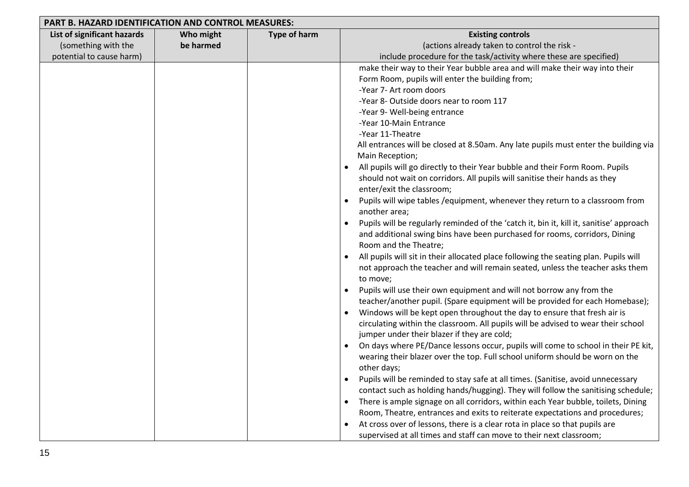| PART B. HAZARD IDENTIFICATION AND CONTROL MEASURES: |           |                     |                                                                                         |  |  |
|-----------------------------------------------------|-----------|---------------------|-----------------------------------------------------------------------------------------|--|--|
| List of significant hazards                         | Who might | <b>Type of harm</b> | <b>Existing controls</b>                                                                |  |  |
| (something with the                                 | be harmed |                     | (actions already taken to control the risk -                                            |  |  |
| potential to cause harm)                            |           |                     | include procedure for the task/activity where these are specified)                      |  |  |
|                                                     |           |                     | make their way to their Year bubble area and will make their way into their             |  |  |
|                                                     |           |                     | Form Room, pupils will enter the building from;                                         |  |  |
|                                                     |           |                     | -Year 7- Art room doors                                                                 |  |  |
|                                                     |           |                     | -Year 8- Outside doors near to room 117                                                 |  |  |
|                                                     |           |                     | -Year 9- Well-being entrance                                                            |  |  |
|                                                     |           |                     | -Year 10-Main Entrance                                                                  |  |  |
|                                                     |           |                     | -Year 11-Theatre                                                                        |  |  |
|                                                     |           |                     | All entrances will be closed at 8.50am. Any late pupils must enter the building via     |  |  |
|                                                     |           |                     | Main Reception;                                                                         |  |  |
|                                                     |           |                     | All pupils will go directly to their Year bubble and their Form Room. Pupils            |  |  |
|                                                     |           |                     | should not wait on corridors. All pupils will sanitise their hands as they              |  |  |
|                                                     |           |                     | enter/exit the classroom;                                                               |  |  |
|                                                     |           |                     | Pupils will wipe tables / equipment, whenever they return to a classroom from           |  |  |
|                                                     |           |                     | another area;                                                                           |  |  |
|                                                     |           |                     | Pupils will be regularly reminded of the 'catch it, bin it, kill it, sanitise' approach |  |  |
|                                                     |           |                     | and additional swing bins have been purchased for rooms, corridors, Dining              |  |  |
|                                                     |           |                     | Room and the Theatre;                                                                   |  |  |
|                                                     |           |                     | All pupils will sit in their allocated place following the seating plan. Pupils will    |  |  |
|                                                     |           |                     | not approach the teacher and will remain seated, unless the teacher asks them           |  |  |
|                                                     |           |                     | to move;                                                                                |  |  |
|                                                     |           |                     | Pupils will use their own equipment and will not borrow any from the                    |  |  |
|                                                     |           |                     | teacher/another pupil. (Spare equipment will be provided for each Homebase);            |  |  |
|                                                     |           |                     | Windows will be kept open throughout the day to ensure that fresh air is                |  |  |
|                                                     |           |                     | circulating within the classroom. All pupils will be advised to wear their school       |  |  |
|                                                     |           |                     | jumper under their blazer if they are cold;                                             |  |  |
|                                                     |           |                     | On days where PE/Dance lessons occur, pupils will come to school in their PE kit,       |  |  |
|                                                     |           |                     | wearing their blazer over the top. Full school uniform should be worn on the            |  |  |
|                                                     |           |                     | other days;                                                                             |  |  |
|                                                     |           |                     | Pupils will be reminded to stay safe at all times. (Sanitise, avoid unnecessary         |  |  |
|                                                     |           |                     | contact such as holding hands/hugging). They will follow the sanitising schedule;       |  |  |
|                                                     |           |                     | There is ample signage on all corridors, within each Year bubble, toilets, Dining       |  |  |
|                                                     |           |                     | Room, Theatre, entrances and exits to reiterate expectations and procedures;            |  |  |
|                                                     |           |                     | At cross over of lessons, there is a clear rota in place so that pupils are             |  |  |
|                                                     |           |                     | supervised at all times and staff can move to their next classroom;                     |  |  |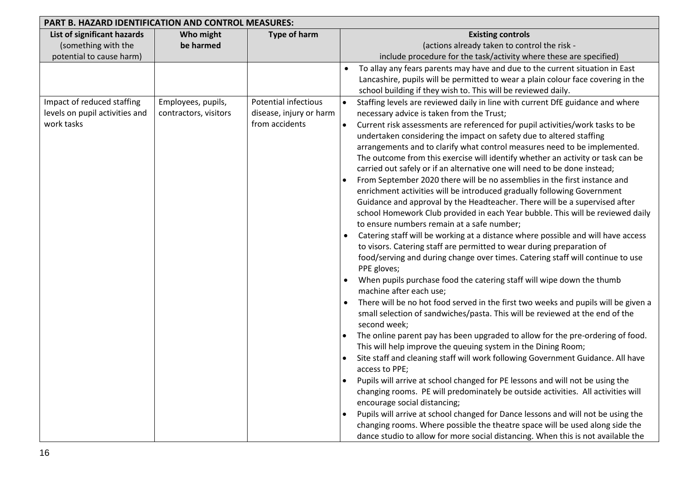| PART B. HAZARD IDENTIFICATION AND CONTROL MEASURES:                            |                                             |                                                                          |                                                                                                                                                                                                                                                                                                                                                                                                                                                                                                                                                                                                                                                                                                                                                                                                                                                                                                                                                                                                                                                                                                                                                                                                                                                                                                                                                                                                                                                                                                                                                                                                                                                                                                                                                                                                                                                                                                                                                                                                                                                                                                                                                                                                               |  |  |
|--------------------------------------------------------------------------------|---------------------------------------------|--------------------------------------------------------------------------|---------------------------------------------------------------------------------------------------------------------------------------------------------------------------------------------------------------------------------------------------------------------------------------------------------------------------------------------------------------------------------------------------------------------------------------------------------------------------------------------------------------------------------------------------------------------------------------------------------------------------------------------------------------------------------------------------------------------------------------------------------------------------------------------------------------------------------------------------------------------------------------------------------------------------------------------------------------------------------------------------------------------------------------------------------------------------------------------------------------------------------------------------------------------------------------------------------------------------------------------------------------------------------------------------------------------------------------------------------------------------------------------------------------------------------------------------------------------------------------------------------------------------------------------------------------------------------------------------------------------------------------------------------------------------------------------------------------------------------------------------------------------------------------------------------------------------------------------------------------------------------------------------------------------------------------------------------------------------------------------------------------------------------------------------------------------------------------------------------------------------------------------------------------------------------------------------------------|--|--|
| List of significant hazards<br>(something with the<br>potential to cause harm) | Who might<br>be harmed                      | <b>Type of harm</b>                                                      | <b>Existing controls</b><br>(actions already taken to control the risk -<br>include procedure for the task/activity where these are specified)                                                                                                                                                                                                                                                                                                                                                                                                                                                                                                                                                                                                                                                                                                                                                                                                                                                                                                                                                                                                                                                                                                                                                                                                                                                                                                                                                                                                                                                                                                                                                                                                                                                                                                                                                                                                                                                                                                                                                                                                                                                                |  |  |
|                                                                                |                                             |                                                                          | To allay any fears parents may have and due to the current situation in East<br>$\bullet$<br>Lancashire, pupils will be permitted to wear a plain colour face covering in the<br>school building if they wish to. This will be reviewed daily.                                                                                                                                                                                                                                                                                                                                                                                                                                                                                                                                                                                                                                                                                                                                                                                                                                                                                                                                                                                                                                                                                                                                                                                                                                                                                                                                                                                                                                                                                                                                                                                                                                                                                                                                                                                                                                                                                                                                                                |  |  |
| Impact of reduced staffing<br>levels on pupil activities and<br>work tasks     | Employees, pupils,<br>contractors, visitors | <b>Potential infectious</b><br>disease, injury or harm<br>from accidents | Staffing levels are reviewed daily in line with current DfE guidance and where<br>$\bullet$<br>necessary advice is taken from the Trust;<br>Current risk assessments are referenced for pupil activities/work tasks to be<br>$\bullet$<br>undertaken considering the impact on safety due to altered staffing<br>arrangements and to clarify what control measures need to be implemented.<br>The outcome from this exercise will identify whether an activity or task can be<br>carried out safely or if an alternative one will need to be done instead;<br>From September 2020 there will be no assemblies in the first instance and<br>enrichment activities will be introduced gradually following Government<br>Guidance and approval by the Headteacher. There will be a supervised after<br>school Homework Club provided in each Year bubble. This will be reviewed daily<br>to ensure numbers remain at a safe number;<br>Catering staff will be working at a distance where possible and will have access<br>to visors. Catering staff are permitted to wear during preparation of<br>food/serving and during change over times. Catering staff will continue to use<br>PPE gloves;<br>When pupils purchase food the catering staff will wipe down the thumb<br>machine after each use;<br>There will be no hot food served in the first two weeks and pupils will be given a<br>small selection of sandwiches/pasta. This will be reviewed at the end of the<br>second week;<br>The online parent pay has been upgraded to allow for the pre-ordering of food.<br>This will help improve the queuing system in the Dining Room;<br>Site staff and cleaning staff will work following Government Guidance. All have<br>access to PPE;<br>Pupils will arrive at school changed for PE lessons and will not be using the<br>changing rooms. PE will predominately be outside activities. All activities will<br>encourage social distancing;<br>Pupils will arrive at school changed for Dance lessons and will not be using the<br>changing rooms. Where possible the theatre space will be used along side the<br>dance studio to allow for more social distancing. When this is not available the |  |  |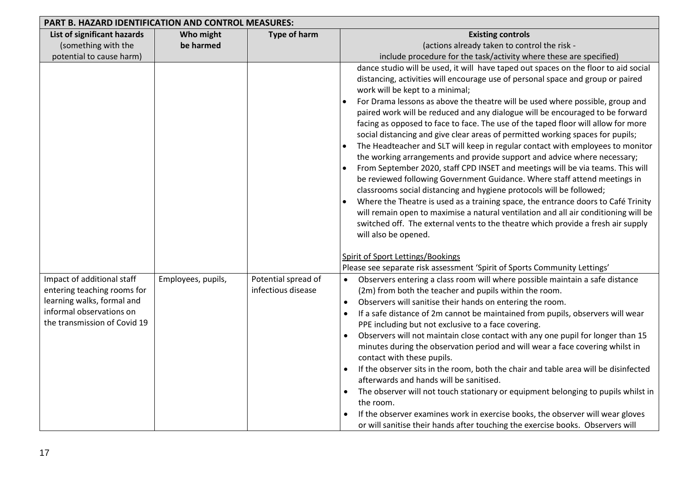| PART B. HAZARD IDENTIFICATION AND CONTROL MEASURES:                                                                                                 |                    |                                           |                                                                                                                                                                                                                                                                                                                                                                                                                                                                                                                                                                                                                                                                                                                                                                                                                                                                                                                                                                                                                                                                                                                                                                                                                                                                                                                                                                          |  |  |
|-----------------------------------------------------------------------------------------------------------------------------------------------------|--------------------|-------------------------------------------|--------------------------------------------------------------------------------------------------------------------------------------------------------------------------------------------------------------------------------------------------------------------------------------------------------------------------------------------------------------------------------------------------------------------------------------------------------------------------------------------------------------------------------------------------------------------------------------------------------------------------------------------------------------------------------------------------------------------------------------------------------------------------------------------------------------------------------------------------------------------------------------------------------------------------------------------------------------------------------------------------------------------------------------------------------------------------------------------------------------------------------------------------------------------------------------------------------------------------------------------------------------------------------------------------------------------------------------------------------------------------|--|--|
| List of significant hazards                                                                                                                         | Who might          | <b>Type of harm</b>                       | <b>Existing controls</b>                                                                                                                                                                                                                                                                                                                                                                                                                                                                                                                                                                                                                                                                                                                                                                                                                                                                                                                                                                                                                                                                                                                                                                                                                                                                                                                                                 |  |  |
| (something with the                                                                                                                                 | be harmed          |                                           | (actions already taken to control the risk -                                                                                                                                                                                                                                                                                                                                                                                                                                                                                                                                                                                                                                                                                                                                                                                                                                                                                                                                                                                                                                                                                                                                                                                                                                                                                                                             |  |  |
| potential to cause harm)                                                                                                                            |                    |                                           | include procedure for the task/activity where these are specified)                                                                                                                                                                                                                                                                                                                                                                                                                                                                                                                                                                                                                                                                                                                                                                                                                                                                                                                                                                                                                                                                                                                                                                                                                                                                                                       |  |  |
|                                                                                                                                                     |                    |                                           | dance studio will be used, it will have taped out spaces on the floor to aid social<br>distancing, activities will encourage use of personal space and group or paired<br>work will be kept to a minimal;<br>For Drama lessons as above the theatre will be used where possible, group and<br>paired work will be reduced and any dialogue will be encouraged to be forward<br>facing as opposed to face to face. The use of the taped floor will allow for more<br>social distancing and give clear areas of permitted working spaces for pupils;<br>The Headteacher and SLT will keep in regular contact with employees to monitor<br>the working arrangements and provide support and advice where necessary;<br>From September 2020, staff CPD INSET and meetings will be via teams. This will<br>be reviewed following Government Guidance. Where staff attend meetings in<br>classrooms social distancing and hygiene protocols will be followed;<br>Where the Theatre is used as a training space, the entrance doors to Café Trinity<br>will remain open to maximise a natural ventilation and all air conditioning will be<br>switched off. The external vents to the theatre which provide a fresh air supply<br>will also be opened.<br><b>Spirit of Sport Lettings/Bookings</b><br>Please see separate risk assessment 'Spirit of Sports Community Lettings' |  |  |
| Impact of additional staff<br>entering teaching rooms for<br>learning walks, formal and<br>informal observations on<br>the transmission of Covid 19 | Employees, pupils, | Potential spread of<br>infectious disease | Observers entering a class room will where possible maintain a safe distance<br>(2m) from both the teacher and pupils within the room.<br>Observers will sanitise their hands on entering the room.<br>If a safe distance of 2m cannot be maintained from pupils, observers will wear<br>PPE including but not exclusive to a face covering.<br>Observers will not maintain close contact with any one pupil for longer than 15<br>minutes during the observation period and will wear a face covering whilst in<br>contact with these pupils.<br>If the observer sits in the room, both the chair and table area will be disinfected<br>afterwards and hands will be sanitised.<br>The observer will not touch stationary or equipment belonging to pupils whilst in<br>the room.<br>If the observer examines work in exercise books, the observer will wear gloves<br>or will sanitise their hands after touching the exercise books. Observers will                                                                                                                                                                                                                                                                                                                                                                                                                   |  |  |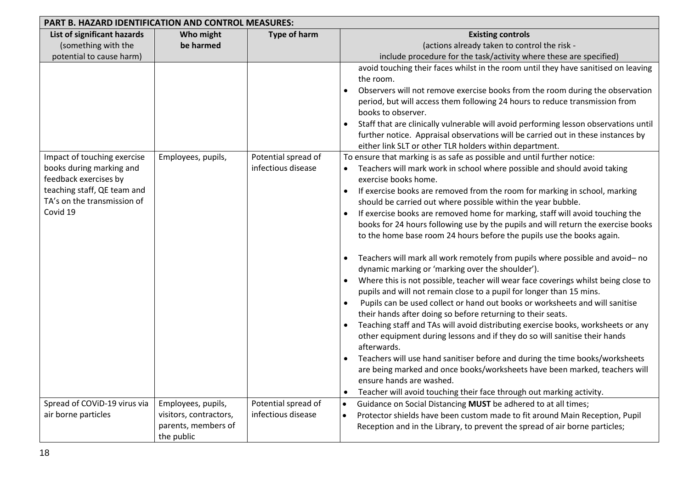|                                                   | PART B. HAZARD IDENTIFICATION AND CONTROL MEASURES: |                     |                                                                                                                                  |  |  |  |
|---------------------------------------------------|-----------------------------------------------------|---------------------|----------------------------------------------------------------------------------------------------------------------------------|--|--|--|
| List of significant hazards                       | Who might                                           | <b>Type of harm</b> | <b>Existing controls</b>                                                                                                         |  |  |  |
| (something with the                               | be harmed                                           |                     | (actions already taken to control the risk -                                                                                     |  |  |  |
| potential to cause harm)                          |                                                     |                     | include procedure for the task/activity where these are specified)                                                               |  |  |  |
|                                                   |                                                     |                     | avoid touching their faces whilst in the room until they have sanitised on leaving                                               |  |  |  |
|                                                   |                                                     |                     | the room.                                                                                                                        |  |  |  |
|                                                   |                                                     |                     | Observers will not remove exercise books from the room during the observation                                                    |  |  |  |
|                                                   |                                                     |                     | period, but will access them following 24 hours to reduce transmission from                                                      |  |  |  |
|                                                   |                                                     |                     | books to observer.                                                                                                               |  |  |  |
|                                                   |                                                     |                     | Staff that are clinically vulnerable will avoid performing lesson observations until                                             |  |  |  |
|                                                   |                                                     |                     | further notice. Appraisal observations will be carried out in these instances by                                                 |  |  |  |
|                                                   |                                                     |                     | either link SLT or other TLR holders within department.                                                                          |  |  |  |
| Impact of touching exercise                       | Employees, pupils,                                  | Potential spread of | To ensure that marking is as safe as possible and until further notice:                                                          |  |  |  |
| books during marking and<br>feedback exercises by |                                                     | infectious disease  | Teachers will mark work in school where possible and should avoid taking<br>exercise books home.                                 |  |  |  |
| teaching staff, QE team and                       |                                                     |                     | If exercise books are removed from the room for marking in school, marking                                                       |  |  |  |
| TA's on the transmission of                       |                                                     |                     | should be carried out where possible within the year bubble.                                                                     |  |  |  |
| Covid 19                                          |                                                     |                     | If exercise books are removed home for marking, staff will avoid touching the                                                    |  |  |  |
|                                                   |                                                     |                     | books for 24 hours following use by the pupils and will return the exercise books                                                |  |  |  |
|                                                   |                                                     |                     | to the home base room 24 hours before the pupils use the books again.                                                            |  |  |  |
|                                                   |                                                     |                     |                                                                                                                                  |  |  |  |
|                                                   |                                                     |                     | Teachers will mark all work remotely from pupils where possible and avoid-no<br>dynamic marking or 'marking over the shoulder'). |  |  |  |
|                                                   |                                                     |                     | Where this is not possible, teacher will wear face coverings whilst being close to                                               |  |  |  |
|                                                   |                                                     |                     | pupils and will not remain close to a pupil for longer than 15 mins.                                                             |  |  |  |
|                                                   |                                                     |                     | Pupils can be used collect or hand out books or worksheets and will sanitise                                                     |  |  |  |
|                                                   |                                                     |                     | their hands after doing so before returning to their seats.                                                                      |  |  |  |
|                                                   |                                                     |                     | Teaching staff and TAs will avoid distributing exercise books, worksheets or any                                                 |  |  |  |
|                                                   |                                                     |                     | other equipment during lessons and if they do so will sanitise their hands                                                       |  |  |  |
|                                                   |                                                     |                     | afterwards.                                                                                                                      |  |  |  |
|                                                   |                                                     |                     | Teachers will use hand sanitiser before and during the time books/worksheets                                                     |  |  |  |
|                                                   |                                                     |                     | are being marked and once books/worksheets have been marked, teachers will                                                       |  |  |  |
|                                                   |                                                     |                     | ensure hands are washed.                                                                                                         |  |  |  |
|                                                   |                                                     |                     | Teacher will avoid touching their face through out marking activity.                                                             |  |  |  |
| Spread of COVID-19 virus via                      | Employees, pupils,                                  | Potential spread of | Guidance on Social Distancing MUST be adhered to at all times;                                                                   |  |  |  |
| air borne particles                               | visitors, contractors,                              | infectious disease  | Protector shields have been custom made to fit around Main Reception, Pupil                                                      |  |  |  |
|                                                   | parents, members of                                 |                     | Reception and in the Library, to prevent the spread of air borne particles;                                                      |  |  |  |
|                                                   | the public                                          |                     |                                                                                                                                  |  |  |  |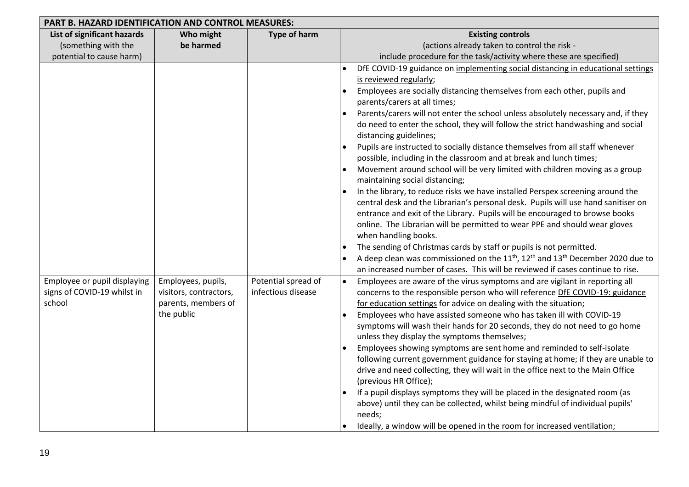| PART B. HAZARD IDENTIFICATION AND CONTROL MEASURES:                   |                                                                                   |                                           |                                                                                                                                                                                                                                                                                                                                                                                                                                                                                                                                                                                                                                                                                                                                                                                                                                                                                                                                                                                                                                                                                                                                                                                                                                                                                                                                                         |  |  |
|-----------------------------------------------------------------------|-----------------------------------------------------------------------------------|-------------------------------------------|---------------------------------------------------------------------------------------------------------------------------------------------------------------------------------------------------------------------------------------------------------------------------------------------------------------------------------------------------------------------------------------------------------------------------------------------------------------------------------------------------------------------------------------------------------------------------------------------------------------------------------------------------------------------------------------------------------------------------------------------------------------------------------------------------------------------------------------------------------------------------------------------------------------------------------------------------------------------------------------------------------------------------------------------------------------------------------------------------------------------------------------------------------------------------------------------------------------------------------------------------------------------------------------------------------------------------------------------------------|--|--|
| List of significant hazards                                           | Who might                                                                         | <b>Type of harm</b>                       | <b>Existing controls</b>                                                                                                                                                                                                                                                                                                                                                                                                                                                                                                                                                                                                                                                                                                                                                                                                                                                                                                                                                                                                                                                                                                                                                                                                                                                                                                                                |  |  |
| (something with the                                                   | be harmed                                                                         |                                           | (actions already taken to control the risk -                                                                                                                                                                                                                                                                                                                                                                                                                                                                                                                                                                                                                                                                                                                                                                                                                                                                                                                                                                                                                                                                                                                                                                                                                                                                                                            |  |  |
| potential to cause harm)                                              |                                                                                   |                                           | include procedure for the task/activity where these are specified)                                                                                                                                                                                                                                                                                                                                                                                                                                                                                                                                                                                                                                                                                                                                                                                                                                                                                                                                                                                                                                                                                                                                                                                                                                                                                      |  |  |
|                                                                       |                                                                                   |                                           | DfE COVID-19 guidance on implementing social distancing in educational settings<br>is reviewed regularly;<br>Employees are socially distancing themselves from each other, pupils and<br>$\bullet$<br>parents/carers at all times;<br>Parents/carers will not enter the school unless absolutely necessary and, if they<br>do need to enter the school, they will follow the strict handwashing and social<br>distancing guidelines;<br>Pupils are instructed to socially distance themselves from all staff whenever<br>possible, including in the classroom and at break and lunch times;<br>Movement around school will be very limited with children moving as a group<br>maintaining social distancing;<br>In the library, to reduce risks we have installed Perspex screening around the<br>central desk and the Librarian's personal desk. Pupils will use hand sanitiser on<br>entrance and exit of the Library. Pupils will be encouraged to browse books<br>online. The Librarian will be permitted to wear PPE and should wear gloves<br>when handling books.<br>The sending of Christmas cards by staff or pupils is not permitted.<br>A deep clean was commissioned on the 11 <sup>th</sup> , 12 <sup>th</sup> and 13 <sup>th</sup> December 2020 due to<br>an increased number of cases. This will be reviewed if cases continue to rise. |  |  |
| Employee or pupil displaying<br>signs of COVID-19 whilst in<br>school | Employees, pupils,<br>visitors, contractors,<br>parents, members of<br>the public | Potential spread of<br>infectious disease | Employees are aware of the virus symptoms and are vigilant in reporting all<br>$\bullet$<br>concerns to the responsible person who will reference DfE COVID-19: guidance<br>for education settings for advice on dealing with the situation;<br>Employees who have assisted someone who has taken ill with COVID-19<br>symptoms will wash their hands for 20 seconds, they do not need to go home<br>unless they display the symptoms themselves;<br>Employees showing symptoms are sent home and reminded to self-isolate<br>following current government guidance for staying at home; if they are unable to<br>drive and need collecting, they will wait in the office next to the Main Office<br>(previous HR Office);<br>If a pupil displays symptoms they will be placed in the designated room (as<br>above) until they can be collected, whilst being mindful of individual pupils'<br>needs;<br>Ideally, a window will be opened in the room for increased ventilation;                                                                                                                                                                                                                                                                                                                                                                        |  |  |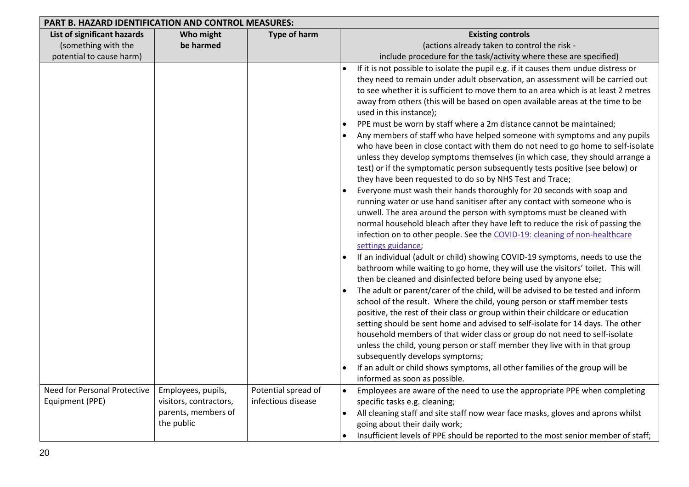| List of significant hazards<br>Who might<br><b>Type of harm</b><br><b>Existing controls</b><br>(something with the<br>be harmed<br>(actions already taken to control the risk -<br>potential to cause harm)<br>include procedure for the task/activity where these are specified)<br>If it is not possible to isolate the pupil e.g. if it causes them undue distress or | PART B. HAZARD IDENTIFICATION AND CONTROL MEASURES: |  |  |                                                                                    |  |  |
|--------------------------------------------------------------------------------------------------------------------------------------------------------------------------------------------------------------------------------------------------------------------------------------------------------------------------------------------------------------------------|-----------------------------------------------------|--|--|------------------------------------------------------------------------------------|--|--|
|                                                                                                                                                                                                                                                                                                                                                                          |                                                     |  |  |                                                                                    |  |  |
|                                                                                                                                                                                                                                                                                                                                                                          |                                                     |  |  |                                                                                    |  |  |
|                                                                                                                                                                                                                                                                                                                                                                          |                                                     |  |  |                                                                                    |  |  |
|                                                                                                                                                                                                                                                                                                                                                                          |                                                     |  |  |                                                                                    |  |  |
|                                                                                                                                                                                                                                                                                                                                                                          |                                                     |  |  | they need to remain under adult observation, an assessment will be carried out     |  |  |
|                                                                                                                                                                                                                                                                                                                                                                          |                                                     |  |  | to see whether it is sufficient to move them to an area which is at least 2 metres |  |  |
| away from others (this will be based on open available areas at the time to be                                                                                                                                                                                                                                                                                           |                                                     |  |  |                                                                                    |  |  |
| used in this instance);                                                                                                                                                                                                                                                                                                                                                  |                                                     |  |  |                                                                                    |  |  |
| PPE must be worn by staff where a 2m distance cannot be maintained;                                                                                                                                                                                                                                                                                                      |                                                     |  |  |                                                                                    |  |  |
|                                                                                                                                                                                                                                                                                                                                                                          |                                                     |  |  | Any members of staff who have helped someone with symptoms and any pupils          |  |  |
|                                                                                                                                                                                                                                                                                                                                                                          |                                                     |  |  | who have been in close contact with them do not need to go home to self-isolate    |  |  |
| test) or if the symptomatic person subsequently tests positive (see below) or                                                                                                                                                                                                                                                                                            |                                                     |  |  | unless they develop symptoms themselves (in which case, they should arrange a      |  |  |
| they have been requested to do so by NHS Test and Trace;                                                                                                                                                                                                                                                                                                                 |                                                     |  |  |                                                                                    |  |  |
| Everyone must wash their hands thoroughly for 20 seconds with soap and                                                                                                                                                                                                                                                                                                   |                                                     |  |  |                                                                                    |  |  |
| running water or use hand sanitiser after any contact with someone who is                                                                                                                                                                                                                                                                                                |                                                     |  |  |                                                                                    |  |  |
| unwell. The area around the person with symptoms must be cleaned with                                                                                                                                                                                                                                                                                                    |                                                     |  |  |                                                                                    |  |  |
| normal household bleach after they have left to reduce the risk of passing the                                                                                                                                                                                                                                                                                           |                                                     |  |  |                                                                                    |  |  |
| infection on to other people. See the COVID-19: cleaning of non-healthcare                                                                                                                                                                                                                                                                                               |                                                     |  |  |                                                                                    |  |  |
| settings guidance;                                                                                                                                                                                                                                                                                                                                                       |                                                     |  |  |                                                                                    |  |  |
| If an individual (adult or child) showing COVID-19 symptoms, needs to use the                                                                                                                                                                                                                                                                                            |                                                     |  |  |                                                                                    |  |  |
| bathroom while waiting to go home, they will use the visitors' toilet. This will                                                                                                                                                                                                                                                                                         |                                                     |  |  |                                                                                    |  |  |
| then be cleaned and disinfected before being used by anyone else;                                                                                                                                                                                                                                                                                                        |                                                     |  |  |                                                                                    |  |  |
| The adult or parent/carer of the child, will be advised to be tested and inform                                                                                                                                                                                                                                                                                          |                                                     |  |  |                                                                                    |  |  |
| school of the result. Where the child, young person or staff member tests                                                                                                                                                                                                                                                                                                |                                                     |  |  |                                                                                    |  |  |
| positive, the rest of their class or group within their childcare or education                                                                                                                                                                                                                                                                                           |                                                     |  |  |                                                                                    |  |  |
| setting should be sent home and advised to self-isolate for 14 days. The other                                                                                                                                                                                                                                                                                           |                                                     |  |  |                                                                                    |  |  |
| household members of that wider class or group do not need to self-isolate                                                                                                                                                                                                                                                                                               |                                                     |  |  |                                                                                    |  |  |
| unless the child, young person or staff member they live with in that group                                                                                                                                                                                                                                                                                              |                                                     |  |  |                                                                                    |  |  |
| subsequently develops symptoms;                                                                                                                                                                                                                                                                                                                                          |                                                     |  |  |                                                                                    |  |  |
| If an adult or child shows symptoms, all other families of the group will be                                                                                                                                                                                                                                                                                             |                                                     |  |  |                                                                                    |  |  |
| informed as soon as possible.                                                                                                                                                                                                                                                                                                                                            |                                                     |  |  |                                                                                    |  |  |
| Need for Personal Protective<br>Potential spread of<br>Employees are aware of the need to use the appropriate PPE when completing<br>Employees, pupils,<br>Equipment (PPE)<br>infectious disease<br>visitors, contractors,                                                                                                                                               |                                                     |  |  |                                                                                    |  |  |
| specific tasks e.g. cleaning;<br>parents, members of<br>All cleaning staff and site staff now wear face masks, gloves and aprons whilst                                                                                                                                                                                                                                  |                                                     |  |  |                                                                                    |  |  |
| the public<br>going about their daily work;                                                                                                                                                                                                                                                                                                                              |                                                     |  |  |                                                                                    |  |  |
|                                                                                                                                                                                                                                                                                                                                                                          |                                                     |  |  | Insufficient levels of PPE should be reported to the most senior member of staff;  |  |  |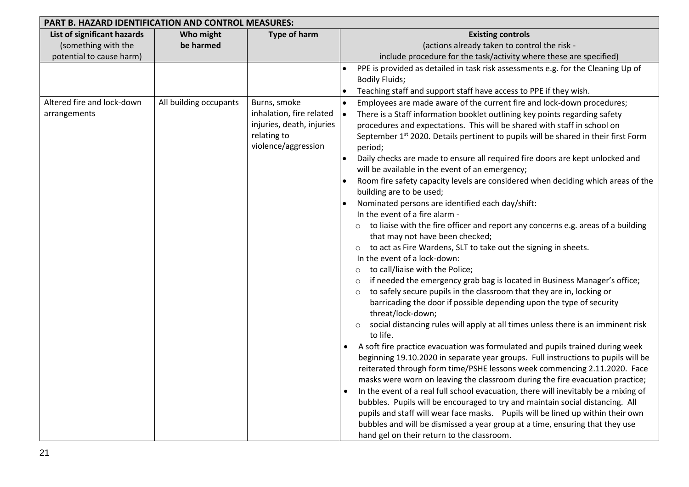| PART B. HAZARD IDENTIFICATION AND CONTROL MEASURES:                            |                        |                                                                                             |                                                                                                                                                                                                                                                                                                                                                                                                                                                                                                                                                                                                                                                                                                                                                                                                                                                                                                                                                                                                                                                                                                                                                                                                                                                                                                                                                                                                                                                                                                                                                                                                                                                                                                                                                                                                                                                                                                                                                                                                                   |  |  |
|--------------------------------------------------------------------------------|------------------------|---------------------------------------------------------------------------------------------|-------------------------------------------------------------------------------------------------------------------------------------------------------------------------------------------------------------------------------------------------------------------------------------------------------------------------------------------------------------------------------------------------------------------------------------------------------------------------------------------------------------------------------------------------------------------------------------------------------------------------------------------------------------------------------------------------------------------------------------------------------------------------------------------------------------------------------------------------------------------------------------------------------------------------------------------------------------------------------------------------------------------------------------------------------------------------------------------------------------------------------------------------------------------------------------------------------------------------------------------------------------------------------------------------------------------------------------------------------------------------------------------------------------------------------------------------------------------------------------------------------------------------------------------------------------------------------------------------------------------------------------------------------------------------------------------------------------------------------------------------------------------------------------------------------------------------------------------------------------------------------------------------------------------------------------------------------------------------------------------------------------------|--|--|
| List of significant hazards<br>(something with the<br>potential to cause harm) | Who might<br>be harmed | Type of harm                                                                                | <b>Existing controls</b><br>(actions already taken to control the risk -<br>include procedure for the task/activity where these are specified)                                                                                                                                                                                                                                                                                                                                                                                                                                                                                                                                                                                                                                                                                                                                                                                                                                                                                                                                                                                                                                                                                                                                                                                                                                                                                                                                                                                                                                                                                                                                                                                                                                                                                                                                                                                                                                                                    |  |  |
| Altered fire and lock-down                                                     | All building occupants | Burns, smoke                                                                                | PPE is provided as detailed in task risk assessments e.g. for the Cleaning Up of<br><b>Bodily Fluids;</b><br>Teaching staff and support staff have access to PPE if they wish.<br>$\bullet$<br>Employees are made aware of the current fire and lock-down procedures;                                                                                                                                                                                                                                                                                                                                                                                                                                                                                                                                                                                                                                                                                                                                                                                                                                                                                                                                                                                                                                                                                                                                                                                                                                                                                                                                                                                                                                                                                                                                                                                                                                                                                                                                             |  |  |
| arrangements                                                                   |                        | inhalation, fire related<br>injuries, death, injuries<br>relating to<br>violence/aggression | There is a Staff information booklet outlining key points regarding safety<br>procedures and expectations. This will be shared with staff in school on<br>September 1 <sup>st</sup> 2020. Details pertinent to pupils will be shared in their first Form<br>period;<br>Daily checks are made to ensure all required fire doors are kept unlocked and<br>will be available in the event of an emergency;<br>Room fire safety capacity levels are considered when deciding which areas of the<br>building are to be used;<br>Nominated persons are identified each day/shift:<br>In the event of a fire alarm -<br>to liaise with the fire officer and report any concerns e.g. areas of a building<br>that may not have been checked;<br>to act as Fire Wardens, SLT to take out the signing in sheets.<br>$\circ$<br>In the event of a lock-down:<br>to call/liaise with the Police;<br>$\circ$<br>if needed the emergency grab bag is located in Business Manager's office;<br>$\circ$<br>to safely secure pupils in the classroom that they are in, locking or<br>$\circ$<br>barricading the door if possible depending upon the type of security<br>threat/lock-down;<br>social distancing rules will apply at all times unless there is an imminent risk<br>$\circ$<br>to life.<br>A soft fire practice evacuation was formulated and pupils trained during week<br>beginning 19.10.2020 in separate year groups. Full instructions to pupils will be<br>reiterated through form time/PSHE lessons week commencing 2.11.2020. Face<br>masks were worn on leaving the classroom during the fire evacuation practice;<br>In the event of a real full school evacuation, there will inevitably be a mixing of<br>bubbles. Pupils will be encouraged to try and maintain social distancing. All<br>pupils and staff will wear face masks.  Pupils will be lined up within their own<br>bubbles and will be dismissed a year group at a time, ensuring that they use<br>hand gel on their return to the classroom. |  |  |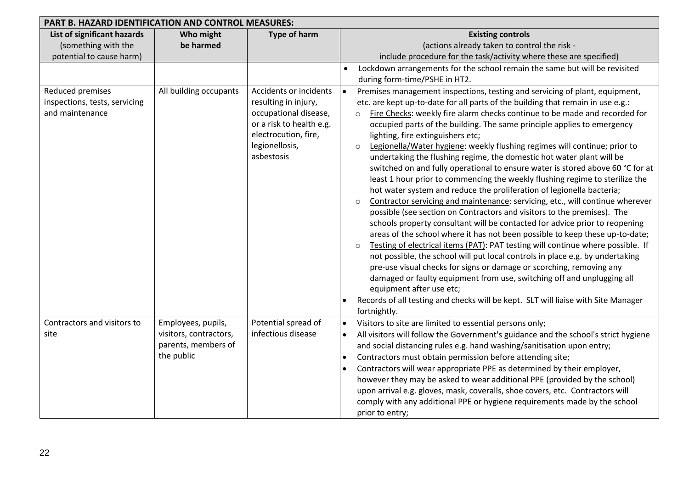| <b>PART B. HAZARD IDENTIFICATION AND CONTROL MEASURES:</b>                     |                                                                                   |                                                                                                                                                             |                                                                                                                                                                                                                                                                                                                                                                                                                                                                                                                                                                                                                                                                                                                                                                                                                                                                                                                                                                                                                                                                                                                                                                                                                                                                                                                                                                                                                                                                                                                                                                                  |  |  |
|--------------------------------------------------------------------------------|-----------------------------------------------------------------------------------|-------------------------------------------------------------------------------------------------------------------------------------------------------------|----------------------------------------------------------------------------------------------------------------------------------------------------------------------------------------------------------------------------------------------------------------------------------------------------------------------------------------------------------------------------------------------------------------------------------------------------------------------------------------------------------------------------------------------------------------------------------------------------------------------------------------------------------------------------------------------------------------------------------------------------------------------------------------------------------------------------------------------------------------------------------------------------------------------------------------------------------------------------------------------------------------------------------------------------------------------------------------------------------------------------------------------------------------------------------------------------------------------------------------------------------------------------------------------------------------------------------------------------------------------------------------------------------------------------------------------------------------------------------------------------------------------------------------------------------------------------------|--|--|
| List of significant hazards<br>(something with the<br>potential to cause harm) | Who might<br>be harmed                                                            | <b>Type of harm</b>                                                                                                                                         | <b>Existing controls</b><br>(actions already taken to control the risk -<br>include procedure for the task/activity where these are specified)                                                                                                                                                                                                                                                                                                                                                                                                                                                                                                                                                                                                                                                                                                                                                                                                                                                                                                                                                                                                                                                                                                                                                                                                                                                                                                                                                                                                                                   |  |  |
|                                                                                |                                                                                   |                                                                                                                                                             | Lockdown arrangements for the school remain the same but will be revisited<br>$\bullet$<br>during form-time/PSHE in HT2.                                                                                                                                                                                                                                                                                                                                                                                                                                                                                                                                                                                                                                                                                                                                                                                                                                                                                                                                                                                                                                                                                                                                                                                                                                                                                                                                                                                                                                                         |  |  |
| Reduced premises<br>inspections, tests, servicing<br>and maintenance           | All building occupants                                                            | Accidents or incidents<br>resulting in injury,<br>occupational disease,<br>or a risk to health e.g.<br>electrocution, fire,<br>legionellosis,<br>asbestosis | Premises management inspections, testing and servicing of plant, equipment,<br>etc. are kept up-to-date for all parts of the building that remain in use e.g.:<br>Fire Checks: weekly fire alarm checks continue to be made and recorded for<br>occupied parts of the building. The same principle applies to emergency<br>lighting, fire extinguishers etc;<br>Legionella/Water hygiene: weekly flushing regimes will continue; prior to<br>$\circ$<br>undertaking the flushing regime, the domestic hot water plant will be<br>switched on and fully operational to ensure water is stored above 60 °C for at<br>least 1 hour prior to commencing the weekly flushing regime to sterilize the<br>hot water system and reduce the proliferation of legionella bacteria;<br>Contractor servicing and maintenance: servicing, etc., will continue wherever<br>$\circ$<br>possible (see section on Contractors and visitors to the premises). The<br>schools property consultant will be contacted for advice prior to reopening<br>areas of the school where it has not been possible to keep these up-to-date;<br>Testing of electrical items (PAT): PAT testing will continue where possible. If<br>$\circ$<br>not possible, the school will put local controls in place e.g. by undertaking<br>pre-use visual checks for signs or damage or scorching, removing any<br>damaged or faulty equipment from use, switching off and unplugging all<br>equipment after use etc;<br>Records of all testing and checks will be kept. SLT will liaise with Site Manager<br>fortnightly. |  |  |
| Contractors and visitors to<br>site                                            | Employees, pupils,<br>visitors, contractors,<br>parents, members of<br>the public | Potential spread of<br>infectious disease                                                                                                                   | Visitors to site are limited to essential persons only;<br>All visitors will follow the Government's guidance and the school's strict hygiene<br>$\bullet$<br>and social distancing rules e.g. hand washing/sanitisation upon entry;<br>Contractors must obtain permission before attending site;<br>Contractors will wear appropriate PPE as determined by their employer,<br>however they may be asked to wear additional PPE (provided by the school)<br>upon arrival e.g. gloves, mask, coveralls, shoe covers, etc. Contractors will<br>comply with any additional PPE or hygiene requirements made by the school<br>prior to entry;                                                                                                                                                                                                                                                                                                                                                                                                                                                                                                                                                                                                                                                                                                                                                                                                                                                                                                                                        |  |  |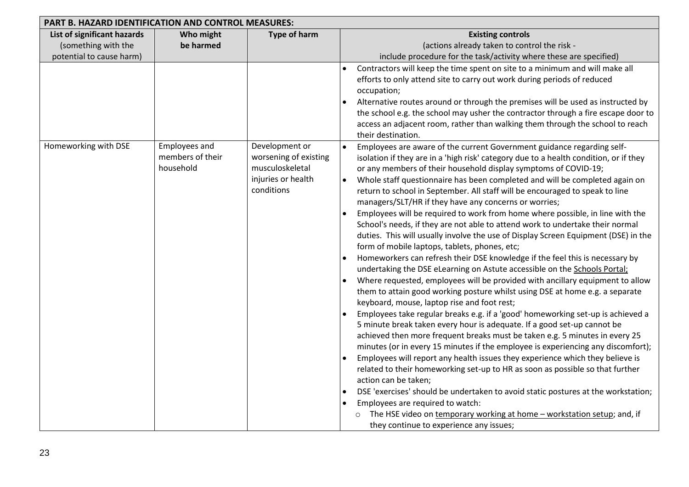| PART B. HAZARD IDENTIFICATION AND CONTROL MEASURES:                            |                                                |                                                                                                |                                                                                                                                                                                                                                                                                                                                                                                                                                                                                                                                                                                                                                                                                                                                                                                                                                                                                                                                                                                                                                                                                                                                                                                                                                                                                                                                                                                                                                                                                                                                                                                                                                                                                                                                                                                                                                                                                                                                                      |  |  |
|--------------------------------------------------------------------------------|------------------------------------------------|------------------------------------------------------------------------------------------------|------------------------------------------------------------------------------------------------------------------------------------------------------------------------------------------------------------------------------------------------------------------------------------------------------------------------------------------------------------------------------------------------------------------------------------------------------------------------------------------------------------------------------------------------------------------------------------------------------------------------------------------------------------------------------------------------------------------------------------------------------------------------------------------------------------------------------------------------------------------------------------------------------------------------------------------------------------------------------------------------------------------------------------------------------------------------------------------------------------------------------------------------------------------------------------------------------------------------------------------------------------------------------------------------------------------------------------------------------------------------------------------------------------------------------------------------------------------------------------------------------------------------------------------------------------------------------------------------------------------------------------------------------------------------------------------------------------------------------------------------------------------------------------------------------------------------------------------------------------------------------------------------------------------------------------------------------|--|--|
| List of significant hazards<br>(something with the<br>potential to cause harm) | Who might<br>be harmed                         | <b>Type of harm</b>                                                                            | <b>Existing controls</b><br>(actions already taken to control the risk -<br>include procedure for the task/activity where these are specified)                                                                                                                                                                                                                                                                                                                                                                                                                                                                                                                                                                                                                                                                                                                                                                                                                                                                                                                                                                                                                                                                                                                                                                                                                                                                                                                                                                                                                                                                                                                                                                                                                                                                                                                                                                                                       |  |  |
|                                                                                |                                                |                                                                                                | Contractors will keep the time spent on site to a minimum and will make all<br>efforts to only attend site to carry out work during periods of reduced<br>occupation;<br>Alternative routes around or through the premises will be used as instructed by<br>the school e.g. the school may usher the contractor through a fire escape door to<br>access an adjacent room, rather than walking them through the school to reach<br>their destination.                                                                                                                                                                                                                                                                                                                                                                                                                                                                                                                                                                                                                                                                                                                                                                                                                                                                                                                                                                                                                                                                                                                                                                                                                                                                                                                                                                                                                                                                                                 |  |  |
| Homeworking with DSE                                                           | Employees and<br>members of their<br>household | Development or<br>worsening of existing<br>musculoskeletal<br>injuries or health<br>conditions | Employees are aware of the current Government guidance regarding self-<br>$\bullet$<br>isolation if they are in a 'high risk' category due to a health condition, or if they<br>or any members of their household display symptoms of COVID-19;<br>Whole staff questionnaire has been completed and will be completed again on<br>$\bullet$<br>return to school in September. All staff will be encouraged to speak to line<br>managers/SLT/HR if they have any concerns or worries;<br>Employees will be required to work from home where possible, in line with the<br>School's needs, if they are not able to attend work to undertake their normal<br>duties. This will usually involve the use of Display Screen Equipment (DSE) in the<br>form of mobile laptops, tablets, phones, etc;<br>Homeworkers can refresh their DSE knowledge if the feel this is necessary by<br>undertaking the DSE eLearning on Astute accessible on the Schools Portal;<br>Where requested, employees will be provided with ancillary equipment to allow<br>them to attain good working posture whilst using DSE at home e.g. a separate<br>keyboard, mouse, laptop rise and foot rest;<br>Employees take regular breaks e.g. if a 'good' homeworking set-up is achieved a<br>5 minute break taken every hour is adequate. If a good set-up cannot be<br>achieved then more frequent breaks must be taken e.g. 5 minutes in every 25<br>minutes (or in every 15 minutes if the employee is experiencing any discomfort);<br>Employees will report any health issues they experience which they believe is<br>related to their homeworking set-up to HR as soon as possible so that further<br>action can be taken;<br>DSE 'exercises' should be undertaken to avoid static postures at the workstation;<br>Employees are required to watch:<br>The HSE video on temporary working at home - workstation setup; and, if<br>they continue to experience any issues; |  |  |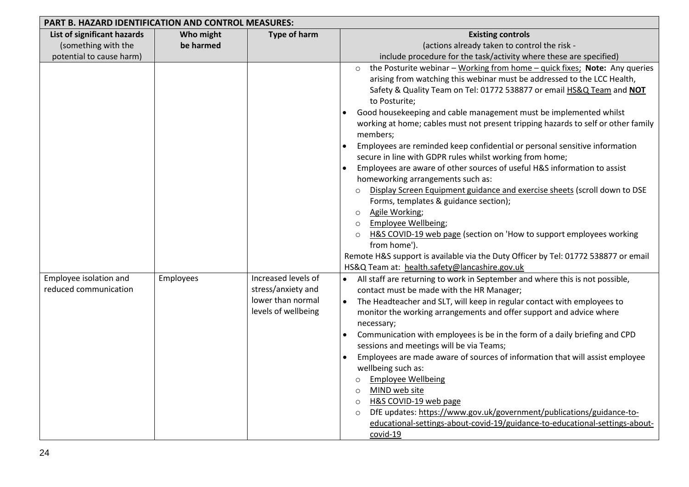| <b>PART B. HAZARD IDENTIFICATION AND CONTROL MEASURES:</b> |           |                     |                                                                                                       |  |  |
|------------------------------------------------------------|-----------|---------------------|-------------------------------------------------------------------------------------------------------|--|--|
| List of significant hazards                                | Who might | Type of harm        | <b>Existing controls</b>                                                                              |  |  |
| (something with the                                        | be harmed |                     | (actions already taken to control the risk -                                                          |  |  |
| potential to cause harm)                                   |           |                     | include procedure for the task/activity where these are specified)                                    |  |  |
|                                                            |           |                     | the Posturite webinar - Working from home - quick fixes; Note: Any queries<br>$\circ$                 |  |  |
|                                                            |           |                     | arising from watching this webinar must be addressed to the LCC Health,                               |  |  |
|                                                            |           |                     | Safety & Quality Team on Tel: 01772 538877 or email HS&Q Team and NOT                                 |  |  |
|                                                            |           |                     | to Posturite;                                                                                         |  |  |
|                                                            |           |                     | Good housekeeping and cable management must be implemented whilst                                     |  |  |
|                                                            |           |                     | working at home; cables must not present tripping hazards to self or other family                     |  |  |
|                                                            |           |                     | members;                                                                                              |  |  |
|                                                            |           |                     | Employees are reminded keep confidential or personal sensitive information                            |  |  |
|                                                            |           |                     | secure in line with GDPR rules whilst working from home;                                              |  |  |
|                                                            |           |                     | Employees are aware of other sources of useful H&S information to assist                              |  |  |
|                                                            |           |                     | homeworking arrangements such as:                                                                     |  |  |
|                                                            |           |                     | Display Screen Equipment guidance and exercise sheets (scroll down to DSE                             |  |  |
|                                                            |           |                     | Forms, templates & guidance section);                                                                 |  |  |
|                                                            |           |                     | Agile Working;<br>$\circ$                                                                             |  |  |
|                                                            |           |                     | Employee Wellbeing;<br>$\circ$<br>H&S COVID-19 web page (section on 'How to support employees working |  |  |
|                                                            |           |                     | $\circ$<br>from home').                                                                               |  |  |
|                                                            |           |                     | Remote H&S support is available via the Duty Officer by Tel: 01772 538877 or email                    |  |  |
|                                                            |           |                     | HS&Q Team at: health.safety@lancashire.gov.uk                                                         |  |  |
| Employee isolation and                                     | Employees | Increased levels of | All staff are returning to work in September and where this is not possible,                          |  |  |
| reduced communication                                      |           | stress/anxiety and  | contact must be made with the HR Manager;                                                             |  |  |
|                                                            |           | lower than normal   | The Headteacher and SLT, will keep in regular contact with employees to<br>$\bullet$                  |  |  |
|                                                            |           | levels of wellbeing | monitor the working arrangements and offer support and advice where                                   |  |  |
|                                                            |           |                     | necessary;                                                                                            |  |  |
|                                                            |           |                     | Communication with employees is be in the form of a daily briefing and CPD                            |  |  |
|                                                            |           |                     | sessions and meetings will be via Teams;                                                              |  |  |
|                                                            |           |                     | Employees are made aware of sources of information that will assist employee                          |  |  |
|                                                            |           |                     | wellbeing such as:                                                                                    |  |  |
|                                                            |           |                     | <b>Employee Wellbeing</b><br>$\circ$                                                                  |  |  |
|                                                            |           |                     | MIND web site<br>$\circ$                                                                              |  |  |
|                                                            |           |                     | H&S COVID-19 web page<br>$\circ$                                                                      |  |  |
|                                                            |           |                     | DfE updates: https://www.gov.uk/government/publications/guidance-to-<br>$\circ$                       |  |  |
|                                                            |           |                     | educational-settings-about-covid-19/guidance-to-educational-settings-about-                           |  |  |
|                                                            |           |                     | covid-19                                                                                              |  |  |